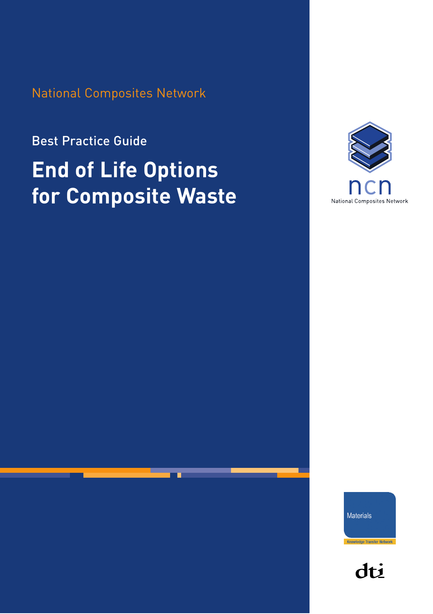National Composites Network

Best Practice Guide

# **End of Life Options for Composite Waste**



Materials

dti

Knowledge Transfer Network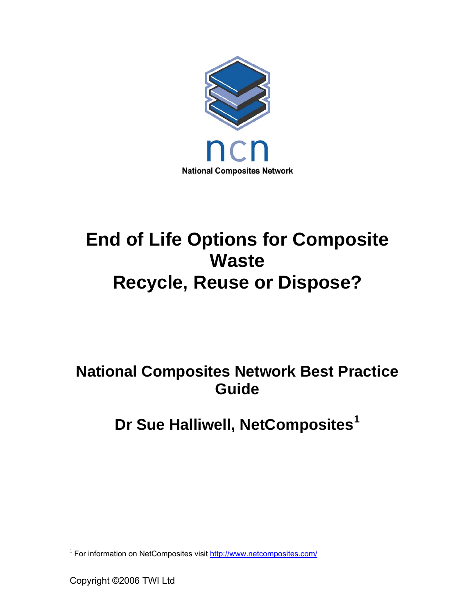

# **End of Life Options for Composite Waste Recycle, Reuse or Dispose?**

### **National Composites Network Best Practice Guide**

## **Dr Sue Halliwell, NetComposites[1](#page-1-0)**

<span id="page-1-0"></span> $\overline{a}$ <sup>1</sup> For information on NetComposites visit <http://www.netcomposites.com/>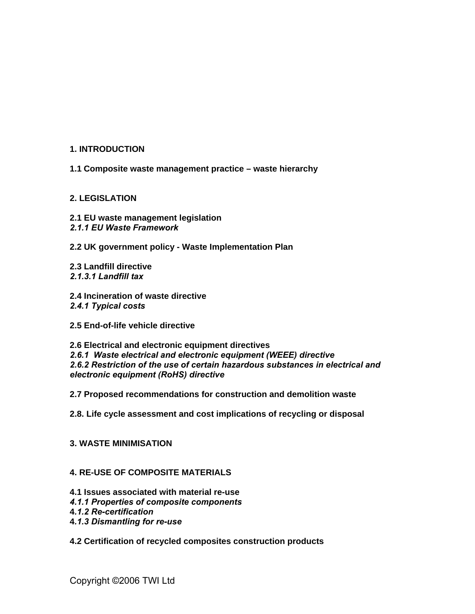#### **1. INTRODUCTION**

**1.1 Composite waste management practice – waste hierarchy** 

#### **2. LEGISLATION**

- **2.1 EU waste management legislation** *2.1.1 [EU Waste Framework](http://europa.eu.int/eur-lex/en/consleg/pdf/1975/en_1975L0442_do_001.pdf)*
- 

**2.2 UK government policy - Waste Implementation Plan** 

**2.3 Landfill directive**  *2.1.3.1 Landfill tax* 

- **2.4 Incineration of waste directive**  *2.4.1 Typical costs*
- **2.5 End-of-life vehicle directive**

**2.6 Electrical and electronic equipment directives** *2.6.1 Waste electrical and electronic equipment (WEEE) directive 2.6.2 Restriction of the use of certain hazardous substances in electrical and electronic equipment (RoHS) directive* 

**2.7 Proposed recommendations for construction and demolition waste** 

**2.8. Life cycle assessment and cost implications of recycling or disposal** 

#### **3. WASTE MINIMISATION**

#### **4. RE-USE OF COMPOSITE MATERIALS**

- **4.1 Issues associated with material re-use**
- *4.1.1 Properties of composite components*
- **4***.1.2 Re-certification*
- **4***.1.3 Dismantling for re-use*
- **4.2 Certification of recycled composites construction products**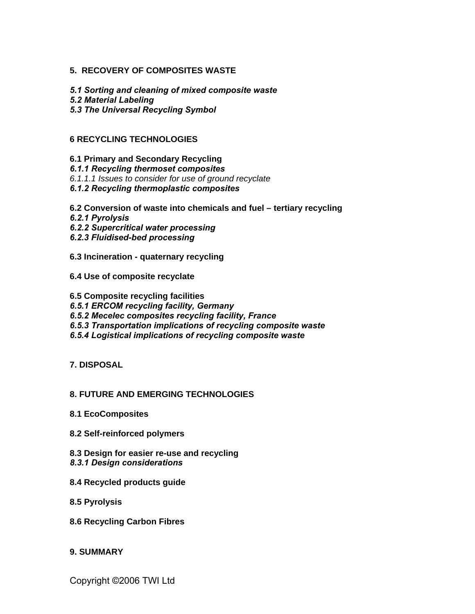#### **5. RECOVERY OF COMPOSITES WASTE**

*5.1 Sorting and cleaning of mixed composite waste* 

*5.2 Material Labeling* 

*5.3 The Universal Recycling Symbol* 

#### **6 RECYCLING TECHNOLOGIES**

**6.1 Primary and Secondary Recycling** 

*6.1.1 Recycling thermoset composites* 

*6.1.1.1 Issues to consider for use of ground recyclate* 

- *6.1.2 Recycling thermoplastic composites*
- **6.2 Conversion of waste into chemicals and fuel tertiary recycling**
- *6.2.1 Pyrolysis*
- *6.2.2 Supercritical water processing*
- *6.2.3 Fluidised-bed processing*
- **6.3 Incineration quaternary recycling**
- **6.4 Use of composite recyclate**
- **6.5 Composite recycling facilities**

*6.5.1 ERCOM recycling facility, Germany* 

- *6.5.2 Mecelec composites recycling facility, France*
- *6.5.3 Transportation implications of recycling composite waste*
- *6.5.4 Logistical implications of recycling composite waste*
- **7. DISPOSAL**

#### **8. FUTURE AND EMERGING TECHNOLOGIES**

- **8.1 EcoComposites**
- **8.2 Self-reinforced polymers**
- **8.3 Design for easier re-use and recycling**  *8.3.1 Design considerations*
- **8.4 Recycled products guide**
- **8.5 Pyrolysis**
- **8.6 Recycling Carbon Fibres**

#### **9. SUMMARY**

Copyright ©2006 TWI Ltd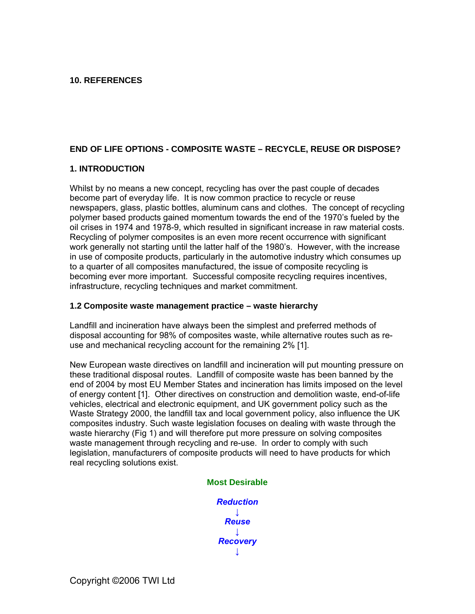#### **10. REFERENCES**

#### **END OF LIFE OPTIONS - COMPOSITE WASTE – RECYCLE, REUSE OR DISPOSE?**

#### **1. INTRODUCTION**

Whilst by no means a new concept, recycling has over the past couple of decades become part of everyday life. It is now common practice to recycle or reuse newspapers, glass, plastic bottles, aluminum cans and clothes. The concept of recycling polymer based products gained momentum towards the end of the 1970's fueled by the oil crises in 1974 and 1978-9, which resulted in significant increase in raw material costs. Recycling of polymer composites is an even more recent occurrence with significant work generally not starting until the latter half of the 1980's. However, with the increase in use of composite products, particularly in the automotive industry which consumes up to a quarter of all composites manufactured, the issue of composite recycling is becoming ever more important. Successful composite recycling requires incentives, infrastructure, recycling techniques and market commitment.

#### **1.2 Composite waste management practice – waste hierarchy**

Landfill and incineration have always been the simplest and preferred methods of disposal accounting for 98% of composites waste, while alternative routes such as reuse and mechanical recycling account for the remaining 2% [1].

New European waste directives on landfill and incineration will put mounting pressure on these traditional disposal routes. Landfill of composite waste has been banned by the end of 2004 by most EU Member States and incineration has limits imposed on the level of energy content [1]. Other directives on construction and demolition waste, end-of-life vehicles, electrical and electronic equipment, and UK government policy such as the Waste Strategy 2000, the landfill tax and local government policy, also influence the UK composites industry. Such waste legislation focuses on dealing with waste through the waste hierarchy (Fig 1) and will therefore put more pressure on solving composites waste management through recycling and re-use. In order to comply with such legislation, manufacturers of composite products will need to have products for which real recycling solutions exist.

#### **Most Desirable**

*Reduction ↓ Reuse ↓ Recovery ↓*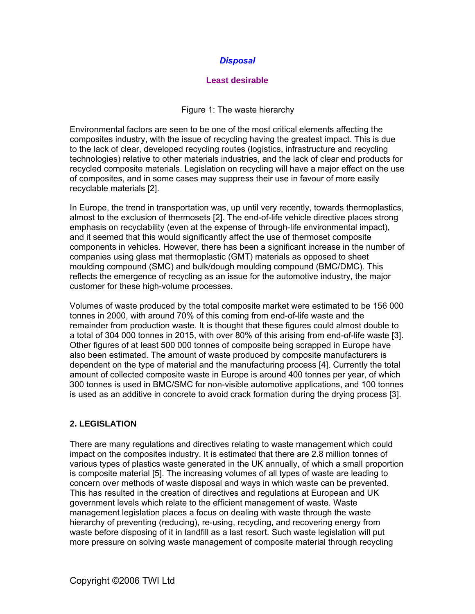#### *Disposal*

#### **Least desirable**

#### Figure 1: The waste hierarchy

Environmental factors are seen to be one of the most critical elements affecting the composites industry, with the issue of recycling having the greatest impact. This is due to the lack of clear, developed recycling routes (logistics, infrastructure and recycling technologies) relative to other materials industries, and the lack of clear end products for recycled composite materials. Legislation on recycling will have a major effect on the use of composites, and in some cases may suppress their use in favour of more easily recyclable materials [2].

In Europe, the trend in transportation was, up until very recently, towards thermoplastics, almost to the exclusion of thermosets [2]. The end-of-life vehicle directive places strong emphasis on recyclability (even at the expense of through-life environmental impact), and it seemed that this would significantly affect the use of thermoset composite components in vehicles. However, there has been a significant increase in the number of companies using glass mat thermoplastic (GMT) materials as opposed to sheet moulding compound (SMC) and bulk/dough moulding compound (BMC/DMC). This reflects the emergence of recycling as an issue for the automotive industry, the major customer for these high-volume processes.

Volumes of waste produced by the total composite market were estimated to be 156 000 tonnes in 2000, with around 70% of this coming from end-of-life waste and the remainder from production waste. It is thought that these figures could almost double to a total of 304 000 tonnes in 2015, with over 80% of this arising from end-of-life waste [3]. Other figures of at least 500 000 tonnes of composite being scrapped in Europe have also been estimated. The amount of waste produced by composite manufacturers is dependent on the type of material and the manufacturing process [4]. Currently the total amount of collected composite waste in Europe is around 400 tonnes per year, of which 300 tonnes is used in BMC/SMC for non-visible automotive applications, and 100 tonnes is used as an additive in concrete to avoid crack formation during the drying process [3].

#### **2. LEGISLATION**

There are many regulations and directives relating to waste management which could impact on the composites industry. It is estimated that there are 2.8 million tonnes of various types of plastics waste generated in the UK annually, of which a small proportion is composite material [5]. The increasing volumes of all types of waste are leading to concern over methods of waste disposal and ways in which waste can be prevented. This has resulted in the creation of directives and regulations at European and UK government levels which relate to the efficient management of waste. Waste management legislation places a focus on dealing with waste through the waste hierarchy of preventing (reducing), re-using, recycling, and recovering energy from waste before disposing of it in landfill as a last resort. Such waste legislation will put more pressure on solving waste management of composite material through recycling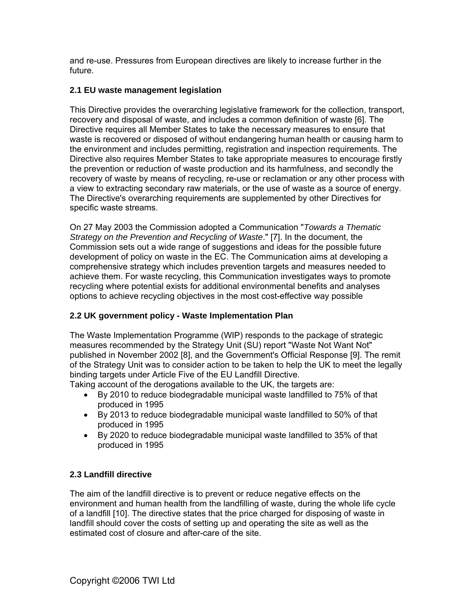and re-use. Pressures from European directives are likely to increase further in the future.

#### **2.1 EU waste management legislation**

This Directive provides the overarching legislative framework for the collection, transport, recovery and disposal of waste, and includes a common [definition of waste](http://www.defra.gov.uk/environment/waste/topics/ECJCaseLaw-01g.pdf) [6]. The Directive requires all Member States to take the necessary measures to ensure that waste is recovered or disposed of without endangering human health or causing harm to the environment and includes permitting, registration and inspection requirements. The Directive also requires Member States to take appropriate measures to encourage firstly the prevention or reduction of waste production and its harmfulness, and secondly the recovery of waste by means of recycling, re-use or reclamation or any other process with a view to extracting secondary raw materials, or the use of waste as a source of energy. The Directive's overarching requirements are supplemented by other Directives for specific waste streams.

On 27 May 2003 the Commission adopted a Communication "*Towards a Thematic Strategy on the Prevention and Recycling of Waste*." [7]. In the document, the Commission sets out a wide range of suggestions and ideas for the possible future development of policy on waste in the EC. The Communication aims at developing a comprehensive strategy which includes prevention targets and measures needed to achieve them. For waste recycling, this Communication investigates ways to promote recycling where potential exists for additional environmental benefits and analyses options to achieve recycling objectives in the most cost-effective way possible

#### **2.2 UK government policy - Waste Implementation Plan**

The Waste Implementation Programme (WIP) responds to the package of strategic measures recommended by the [Strategy Unit](http://www.strategy-unit.gov.uk/output/Page77.asp) (SU) report "[Waste Not Want Not"](http://www.strategy.gov.uk/downloads/su/waste/report/index.html) published in November 2002 [8], and the Government's [Official Response](http://www.defra.gov.uk/environment/waste/review/index.htm) [9]. The remit of the Strategy Unit was to consider action to be taken to help the UK to meet the legally binding targets under Article Five of the [EU Landfill Directive.](http://europa.eu.int/servlet/portail/RenderServlet?search=DocNumber&lg=en&nb_docs=25&domain=Legislation&coll=&in_force=NO&an_doc=1999&nu_doc=31&type_doc=Directive)

Taking account of the derogations available to the UK, the targets are:

- By 2010 to reduce biodegradable municipal waste landfilled to 75% of that produced in 1995
- By 2013 to reduce biodegradable municipal waste landfilled to 50% of that produced in 1995
- By 2020 to reduce biodegradable municipal waste landfilled to 35% of that produced in 1995

#### **2.3 Landfill directive**

The aim of the landfill directive is to prevent or reduce negative effects on the environment and human health from the landfilling of waste, during the whole life cycle of a landfill [10]. The directive states that the price charged for disposing of waste in landfill should cover the costs of setting up and operating the site as well as the estimated cost of closure and after-care of the site.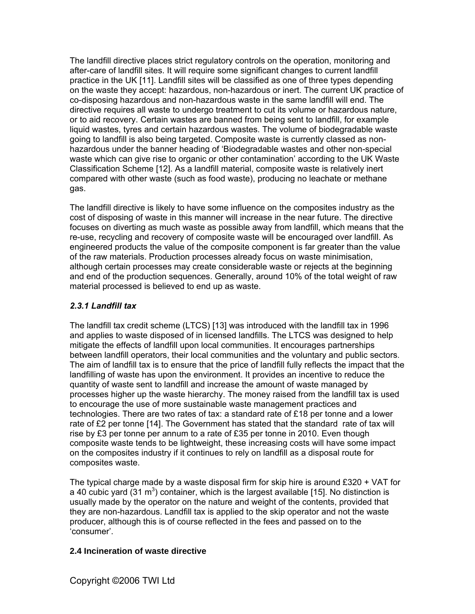The landfill directive places strict regulatory controls on the operation, monitoring and after-care of landfill sites. It will require some significant changes to current landfill practice in the UK [11]. Landfill sites will be classified as one of three types depending on the waste they accept: hazardous, non-hazardous or inert. The current UK practice of co-disposing hazardous and non-hazardous waste in the same landfill will end. The directive requires all waste to undergo treatment to cut its volume or hazardous nature, or to aid recovery. Certain wastes are banned from being sent to landfill, for example liquid wastes, tyres and certain hazardous wastes. The volume of biodegradable waste going to landfill is also being targeted. Composite waste is currently classed as nonhazardous under the banner heading of 'Biodegradable wastes and other non-special waste which can give rise to organic or other contamination' according to the UK Waste Classification Scheme [12]. As a landfill material, composite waste is relatively inert compared with other waste (such as food waste), producing no leachate or methane gas.

The landfill directive is likely to have some influence on the composites industry as the cost of disposing of waste in this manner will increase in the near future. The directive focuses on diverting as much waste as possible away from landfill, which means that the re-use, recycling and recovery of composite waste will be encouraged over landfill. As engineered products the value of the composite component is far greater than the value of the raw materials. Production processes already focus on waste minimisation, although certain processes may create considerable waste or rejects at the beginning and end of the production sequences. Generally, around 10% of the total weight of raw material processed is believed to end up as waste.

#### *2.3.1 Landfill tax*

The landfill tax credit scheme (LTCS) [13] was introduced with the landfill tax in 1996 and applies to waste disposed of in licensed landfills. The LTCS was designed to help mitigate the effects of landfill upon local communities. It encourages partnerships between landfill operators, their local communities and the voluntary and public sectors. The aim of landfill tax is to ensure that the price of landfill fully reflects the impact that the landfilling of waste has upon the environment. It provides an incentive to reduce the quantity of waste sent to landfill and increase the amount of waste managed by processes higher up the waste hierarchy. The money raised from the landfill tax is used to encourage the use of more sustainable waste management practices and technologies. There are two rates of tax: a standard rate of £18 per tonne and a lower rate of £2 per tonne [14]. The Government has stated that the standard rate of tax will rise by £3 per tonne per annum to a rate of £35 per tonne in 2010. Even though composite waste tends to be lightweight, these increasing costs will have some impact on the composites industry if it continues to rely on landfill as a disposal route for composites waste.

The typical charge made by a waste disposal firm for skip hire is around  $£320 + VAT$  for a 40 cubic yard  $(31 \text{ m}^3)$  container, which is the largest available [15]. No distinction is usually made by the operator on the nature and weight of the contents, provided that they are non-hazardous. Landfill tax is applied to the skip operator and not the waste producer, although this is of course reflected in the fees and passed on to the 'consumer'.

#### **2.4 Incineration of waste directive**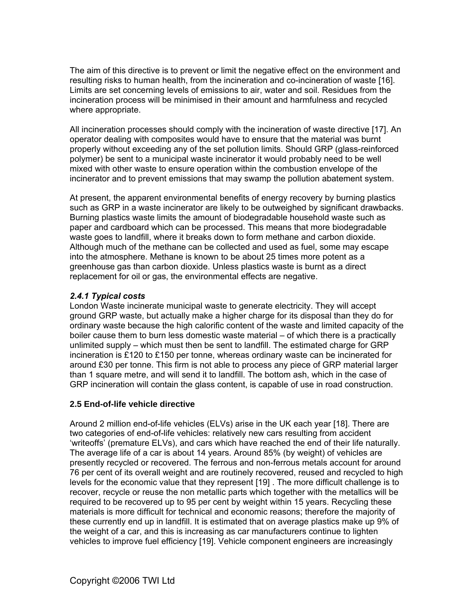The aim of this directive is to prevent or limit the negative effect on the environment and resulting risks to human health, from the incineration and co-incineration of waste [16]. Limits are set concerning levels of emissions to air, water and soil. Residues from the incineration process will be minimised in their amount and harmfulness and recycled where appropriate.

All incineration processes should comply with the incineration of waste directive [17]. An operator dealing with composites would have to ensure that the material was burnt properly without exceeding any of the set pollution limits. Should GRP (glass-reinforced polymer) be sent to a municipal waste incinerator it would probably need to be well mixed with other waste to ensure operation within the combustion envelope of the incinerator and to prevent emissions that may swamp the pollution abatement system.

At present, the apparent environmental benefits of energy recovery by burning plastics such as GRP in a waste incinerator are likely to be outweighed by significant drawbacks. Burning plastics waste limits the amount of biodegradable household waste such as paper and cardboard which can be processed. This means that more biodegradable waste goes to landfill, where it breaks down to form methane and carbon dioxide. Although much of the methane can be collected and used as fuel, some may escape into the atmosphere. Methane is known to be about 25 times more potent as a greenhouse gas than carbon dioxide. Unless plastics waste is burnt as a direct replacement for oil or gas, the environmental effects are negative.

#### *2.4.1 Typical costs*

London Waste incinerate municipal waste to generate electricity. They will accept ground GRP waste, but actually make a higher charge for its disposal than they do for ordinary waste because the high calorific content of the waste and limited capacity of the boiler cause them to burn less domestic waste material – of which there is a practically unlimited supply – which must then be sent to landfill. The estimated charge for GRP incineration is £120 to £150 per tonne, whereas ordinary waste can be incinerated for around £30 per tonne. This firm is not able to process any piece of GRP material larger than 1 square metre, and will send it to landfill. The bottom ash, which in the case of GRP incineration will contain the glass content, is capable of use in road construction.

#### **2.5 End-of-life vehicle directive**

Around 2 million end-of-life vehicles (ELVs) arise in the UK each year [18]. There are two categories of end-of-life vehicles: relatively new cars resulting from accident 'writeoffs' (premature ELVs), and cars which have reached the end of their life naturally. The average life of a car is about 14 years. Around 85% (by weight) of vehicles are presently recycled or recovered. The ferrous and non-ferrous metals account for around 76 per cent of its overall weight and are routinely recovered, reused and recycled to high levels for the economic value that they represent [19] . The more difficult challenge is to recover, recycle or reuse the non metallic parts which together with the metallics will be required to be recovered up to 95 per cent by weight within 15 years. Recycling these materials is more difficult for technical and economic reasons; therefore the majority of these currently end up in landfill. It is estimated that on average plastics make up 9% of the weight of a car, and this is increasing as car manufacturers continue to lighten vehicles to improve fuel efficiency [19]. Vehicle component engineers are increasingly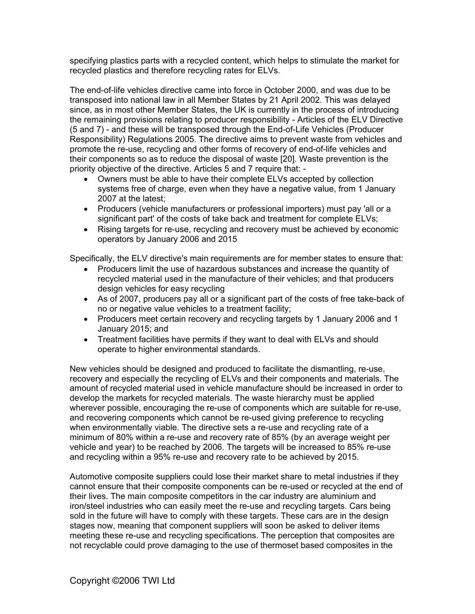specifying plastics parts with a recycled content, which helps to stimulate the market for recycled plastics and therefore recycling rates for ELVs.

The end-of-life vehicles directive came into force in October 2000, and was due to be transposed into national law in all Member States by 21 April 2002. This was delayed since, as in most other Member States, the UK is currently in the process of introducing the remaining provisions relating to producer responsibility - Articles of the ELV Directive (5 and 7) - and these will be transposed through the End-of-Life Vehicles (Producer Responsibility) Regulations 2005. The directive aims to prevent waste from vehicles and promote the re-use, recycling and other forms of recovery of end-of-life vehicles and their components so as to reduce the disposal of waste [20]. Waste prevention is the priority objective of the directive. Articles 5 and 7 require that: -

- Owners must be able to have their complete ELVs accepted by collection systems free of charge, even when they have a negative value, from 1 January 2007 at the latest;
- Producers (vehicle manufacturers or professional importers) must pay 'all or a significant part' of the costs of take back and treatment for complete ELVs;
- Rising targets for re-use, recycling and recovery must be achieved by economic operators by January 2006 and 2015

Specifically, the ELV directive's main requirements are for member states to ensure that:

- Producers limit the use of hazardous substances and increase the quantity of recycled material used in the manufacture of their vehicles; and that producers design vehicles for easy recycling
- As of 2007, producers pay all or a significant part of the costs of free take-back of no or negative value vehicles to a treatment facility;
- Producers meet certain recovery and recycling targets by 1 January 2006 and 1 January 2015; and
- Treatment facilities have permits if they want to deal with ELVs and should operate to higher environmental standards.

New vehicles should be designed and produced to facilitate the dismantling, re-use, recovery and especially the recycling of ELVs and their components and materials. The amount of recycled material used in vehicle manufacture should be increased in order to develop the markets for recycled materials. The waste hierarchy must be applied wherever possible, encouraging the re-use of components which are suitable for re-use, and recovering components which cannot be re-used giving preference to recycling when environmentally viable. The directive sets a re-use and recycling rate of a minimum of 80% within a re-use and recovery rate of 85% (by an average weight per vehicle and year) to be reached by 2006. The targets will be increased to 85% re-use and recycling within a 95% re-use and recovery rate to be achieved by 2015.

Automotive composite suppliers could lose their market share to metal industries if they cannot ensure that their composite components can be re-used or recycled at the end of their lives. The main composite competitors in the car industry are aluminium and iron/steel industries who can easily meet the re-use and recycling targets. Cars being sold in the future will have to comply with these targets. These cars are in the design stages now, meaning that component suppliers will soon be asked to deliver items meeting these re-use and recycling specifications. The perception that composites are not recyclable could prove damaging to the use of thermoset based composites in the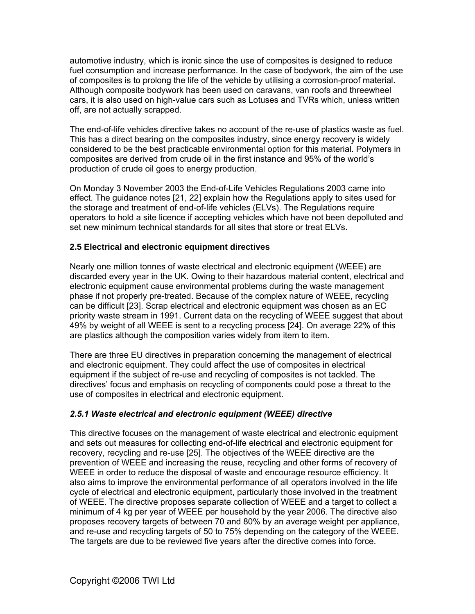automotive industry, which is ironic since the use of composites is designed to reduce fuel consumption and increase performance. In the case of bodywork, the aim of the use of composites is to prolong the life of the vehicle by utilising a corrosion-proof material. Although composite bodywork has been used on caravans, van roofs and threewheel cars, it is also used on high-value cars such as Lotuses and TVRs which, unless written off, are not actually scrapped.

The end-of-life vehicles directive takes no account of the re-use of plastics waste as fuel. This has a direct bearing on the composites industry, since energy recovery is widely considered to be the best practicable environmental option for this material. Polymers in composites are derived from crude oil in the first instance and 95% of the world's production of crude oil goes to energy production.

On Monday 3 November 2003 the End-of-Life Vehicles Regulations 2003 came into effect. The [guidance notes](http://www.defra.gov.uk/environment/waste/topics/elv-guidance.pdf) [21, 22] explain how the Regulations apply to sites used for the storage and treatment of end-of-life vehicles (ELVs). The Regulations require operators to hold a site licence if accepting vehicles which have not been depolluted and set new minimum technical standards for all sites that store or treat ELVs.

#### **2.5 Electrical and electronic equipment directives**

Nearly one million tonnes of waste electrical and electronic equipment (WEEE) are discarded every year in the UK. Owing to their hazardous material content, electrical and electronic equipment cause environmental problems during the waste management phase if not properly pre-treated. Because of the complex nature of WEEE, recycling can be difficult [23]. Scrap electrical and electronic equipment was chosen as an EC priority waste stream in 1991. Current data on the recycling of WEEE suggest that about 49% by weight of all WEEE is sent to a recycling process [24]. On average 22% of this are plastics although the composition varies widely from item to item.

There are three EU directives in preparation concerning the management of electrical and electronic equipment. They could affect the use of composites in electrical equipment if the subject of re-use and recycling of composites is not tackled. The directives' focus and emphasis on recycling of components could pose a threat to the use of composites in electrical and electronic equipment.

#### *2.5.1 Waste electrical and electronic equipment (WEEE) directive*

This directive focuses on the management of waste electrical and electronic equipment and sets out measures for collecting end-of-life electrical and electronic equipment for recovery, recycling and re-use [25]. The objectives of the WEEE directive are the prevention of WEEE and increasing the reuse, recycling and other forms of recovery of WEEE in order to reduce the disposal of waste and encourage resource efficiency. It also aims to improve the environmental performance of all operators involved in the life cycle of electrical and electronic equipment, particularly those involved in the treatment of WEEE. The directive proposes separate collection of WEEE and a target to collect a minimum of 4 kg per year of WEEE per household by the year 2006. The directive also proposes recovery targets of between 70 and 80% by an average weight per appliance, and re-use and recycling targets of 50 to 75% depending on the category of the WEEE. The targets are due to be reviewed five years after the directive comes into force.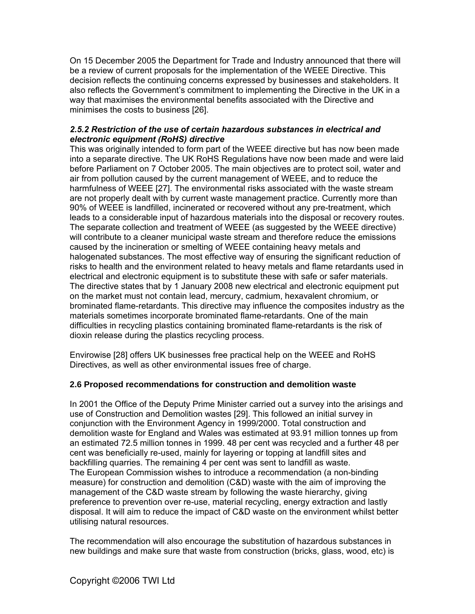On 15 December 2005 the Department for Trade and Industry announced that there will be a review of current proposals for the implementation of the WEEE Directive. This decision reflects the continuing concerns expressed by businesses and stakeholders. It also reflects the Government's commitment to implementing the Directive in the UK in a way that maximises the environmental benefits associated with the Directive and minimises the costs to business [26].

#### *2.5.2 Restriction of the use of certain hazardous substances in electrical and electronic equipment (RoHS) directive*

This was originally intended to form part of the WEEE directive but has now been made into a separate directive. The UK RoHS Regulations have now been made and were laid before Parliament on 7 October 2005. The main objectives are to protect soil, water and air from pollution caused by the current management of WEEE, and to reduce the harmfulness of WEEE [27]. The environmental risks associated with the waste stream are not properly dealt with by current waste management practice. Currently more than 90% of WEEE is landfilled, incinerated or recovered without any pre-treatment, which leads to a considerable input of hazardous materials into the disposal or recovery routes. The separate collection and treatment of WEEE (as suggested by the WEEE directive) will contribute to a cleaner municipal waste stream and therefore reduce the emissions caused by the incineration or smelting of WEEE containing heavy metals and halogenated substances. The most effective way of ensuring the significant reduction of risks to health and the environment related to heavy metals and flame retardants used in electrical and electronic equipment is to substitute these with safe or safer materials. The directive states that by 1 January 2008 new electrical and electronic equipment put on the market must not contain lead, mercury, cadmium, hexavalent chromium, or brominated flame-retardants. This directive may influence the composites industry as the materials sometimes incorporate brominated flame-retardants. One of the main difficulties in recycling plastics containing brominated flame-retardants is the risk of dioxin release during the plastics recycling process.

Envirowise [28] offers UK businesses free practical help on the WEEE and RoHS Directives, as well as other environmental issues free of charge.

#### **2.6 Proposed recommendations for construction and demolition waste**

In 2001 the Office of the Deputy Prime Minister carried out a survey into the arisings and use of Construction and Demolition wastes [29]. This followed an initial survey in conjunction with the Environment Agency in 1999/2000. Total construction and demolition waste for England and Wales was estimated at 93.91 million tonnes up from an estimated 72.5 million tonnes in 1999. 48 per cent was recycled and a further 48 per cent was beneficially re-used, mainly for layering or topping at landfill sites and backfilling quarries. The remaining 4 per cent was sent to landfill as waste. The European Commission wishes to introduce a recommendation (a non-binding measure) for construction and demolition (C&D) waste with the aim of improving the management of the C&D waste stream by following the waste hierarchy, giving preference to prevention over re-use, material recycling, energy extraction and lastly disposal. It will aim to reduce the impact of C&D waste on the environment whilst better utilising natural resources.

The recommendation will also encourage the substitution of hazardous substances in new buildings and make sure that waste from construction (bricks, glass, wood, etc) is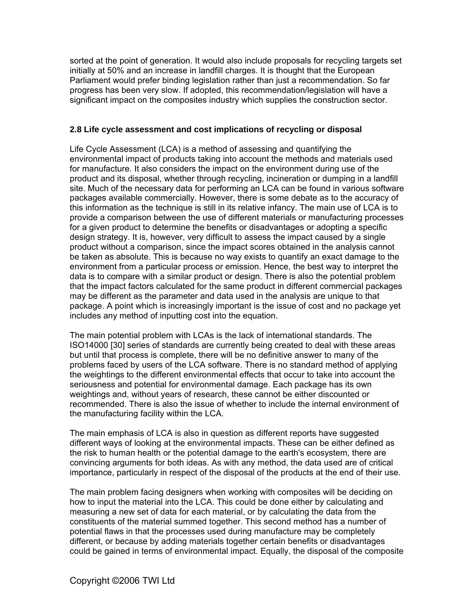sorted at the point of generation. It would also include proposals for recycling targets set initially at 50% and an increase in landfill charges. It is thought that the European Parliament would prefer binding legislation rather than just a recommendation. So far progress has been very slow. If adopted, this recommendation/legislation will have a significant impact on the composites industry which supplies the construction sector.

#### **2.8 Life cycle assessment and cost implications of recycling or disposal**

Life Cycle Assessment (LCA) is a method of assessing and quantifying the environmental impact of products taking into account the methods and materials used for manufacture. It also considers the impact on the environment during use of the product and its disposal, whether through recycling, incineration or dumping in a landfill site. Much of the necessary data for performing an LCA can be found in various software packages available commercially. However, there is some debate as to the accuracy of this information as the technique is still in its relative infancy. The main use of LCA is to provide a comparison between the use of different materials or manufacturing processes for a given product to determine the benefits or disadvantages or adopting a specific design strategy. It is, however, very difficult to assess the impact caused by a single product without a comparison, since the impact scores obtained in the analysis cannot be taken as absolute. This is because no way exists to quantify an exact damage to the environment from a particular process or emission. Hence, the best way to interpret the data is to compare with a similar product or design. There is also the potential problem that the impact factors calculated for the same product in different commercial packages may be different as the parameter and data used in the analysis are unique to that package. A point which is increasingly important is the issue of cost and no package yet includes any method of inputting cost into the equation.

The main potential problem with LCAs is the lack of international standards. The ISO14000 [30] series of standards are currently being created to deal with these areas but until that process is complete, there will be no definitive answer to many of the problems faced by users of the LCA software. There is no standard method of applying the weightings to the different environmental effects that occur to take into account the seriousness and potential for environmental damage. Each package has its own weightings and, without years of research, these cannot be either discounted or recommended. There is also the issue of whether to include the internal environment of the manufacturing facility within the LCA.

The main emphasis of LCA is also in question as different reports have suggested different ways of looking at the environmental impacts. These can be either defined as the risk to human health or the potential damage to the earth's ecosystem, there are convincing arguments for both ideas. As with any method, the data used are of critical importance, particularly in respect of the disposal of the products at the end of their use.

The main problem facing designers when working with composites will be deciding on how to input the material into the LCA. This could be done either by calculating and measuring a new set of data for each material, or by calculating the data from the constituents of the material summed together. This second method has a number of potential flaws in that the processes used during manufacture may be completely different, or because by adding materials together certain benefits or disadvantages could be gained in terms of environmental impact. Equally, the disposal of the composite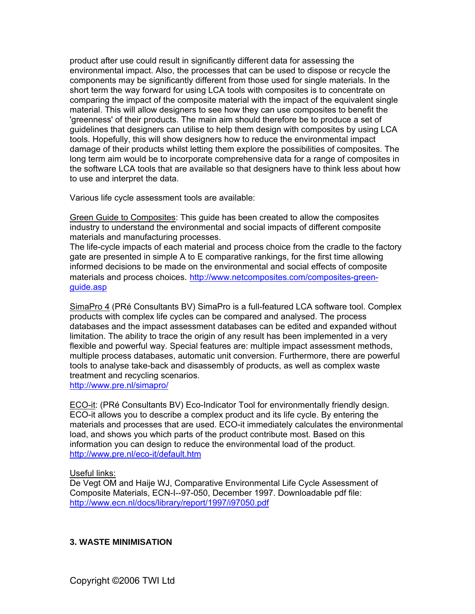product after use could result in significantly different data for assessing the environmental impact. Also, the processes that can be used to dispose or recycle the components may be significantly different from those used for single materials. In the short term the way forward for using LCA tools with composites is to concentrate on comparing the impact of the composite material with the impact of the equivalent single material. This will allow designers to see how they can use composites to benefit the 'greenness' of their products. The main aim should therefore be to produce a set of guidelines that designers can utilise to help them design with composites by using LCA tools. Hopefully, this will show designers how to reduce the environmental impact damage of their products whilst letting them explore the possibilities of composites. The long term aim would be to incorporate comprehensive data for a range of composites in the software LCA tools that are available so that designers have to think less about how to use and interpret the data.

Various life cycle assessment tools are available:

Green Guide to Composites: This guide has been created to allow the composites industry to understand the environmental and social impacts of different composite materials and manufacturing processes.

The life-cycle impacts of each material and process choice from the cradle to the factory gate are presented in simple A to E comparative rankings, for the first time allowing informed decisions to be made on the environmental and social effects of composite materials and process choices. [http://www.netcomposites.com/composites-green](http://www.netcomposites.com/composites-green-guide.asp)[guide.asp](http://www.netcomposites.com/composites-green-guide.asp)

[SimaPro 4](http://www.pre.nl/simapro) (PRé Consultants BV) SimaPro is a full-featured LCA software tool. Complex products with complex life cycles can be compared and analysed. The process databases and the impact assessment databases can be edited and expanded without limitation. The ability to trace the origin of any result has been implemented in a very flexible and powerful way. Special features are: multiple impact assessment methods, multiple process databases, automatic unit conversion. Furthermore, there are powerful tools to analyse take-back and disassembly of products, as well as complex waste treatment and recycling scenarios.

<http://www.pre.nl/simapro/>

[ECO-it:](http://www.pre.nl/eco-it.html) (PRé Consultants BV) Eco-Indicator Tool for environmentally friendly design. ECO-it allows you to describe a complex product and its life cycle. By entering the materials and processes that are used. ECO-it immediately calculates the environmental load, and shows you which parts of the product contribute most. Based on this information you can design to reduce the environmental load of the product. <http://www.pre.nl/eco-it/default.htm>

#### Useful links:

De Vegt OM and Haije WJ, Comparative Environmental Life Cycle Assessment of Composite Materials, ECN-I--97-050, December 1997. Downloadable pdf file: <http://www.ecn.nl/docs/library/report/1997/i97050.pdf>

#### **3. WASTE MINIMISATION**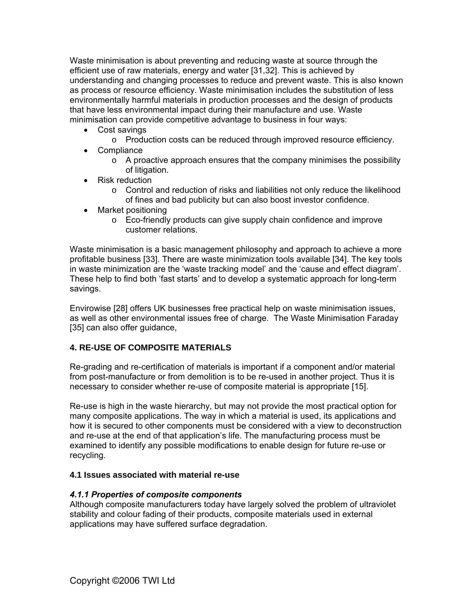Waste minimisation is about preventing and reducing waste at source through the efficient use of raw materials, energy and water [31,32]. This is achieved by understanding and changing processes to reduce and prevent waste. This is also known as process or resource efficiency. Waste minimisation includes the substitution of less environmentally harmful materials in production processes and the design of products that have less environmental impact during their manufacture and use. Waste minimisation can provide competitive advantage to business in four ways:

- Cost savings
	- o Production costs can be reduced through improved resource efficiency.
- Compliance
	- $\circ$  A proactive approach ensures that the company minimises the possibility of litigation.
- Risk reduction
	- o Control and reduction of risks and liabilities not only reduce the likelihood of fines and bad publicity but can also boost investor confidence.
- Market positioning
	- o Eco-friendly products can give supply chain confidence and improve customer relations.

Waste minimisation is a basic management philosophy and approach to achieve a more profitable business [33]. There are waste minimization tools available [34]. The key tools in waste minimization are the 'waste tracking model' and the 'cause and effect diagram'. These help to find both 'fast starts' and to develop a systematic approach for long-term savings.

Envirowise [28] offers UK businesses free practical help on waste minimisation issues, as well as other environmental issues free of charge. The Waste Minimisation Faraday [35] can also offer guidance,

#### **4. RE-USE OF COMPOSITE MATERIALS**

Re-grading and re-certification of materials is important if a component and/or material from post-manufacture or from demolition is to be re-used in another project. Thus it is necessary to consider whether re-use of composite material is appropriate [15].

Re-use is high in the waste hierarchy, but may not provide the most practical option for many composite applications. The way in which a material is used, its applications and how it is secured to other components must be considered with a view to deconstruction and re-use at the end of that application's life. The manufacturing process must be examined to identify any possible modifications to enable design for future re-use or recycling.

#### **4.1 Issues associated with material re-use**

#### *4.1.1 Properties of composite components*

Although composite manufacturers today have largely solved the problem of ultraviolet stability and colour fading of their products, composite materials used in external applications may have suffered surface degradation.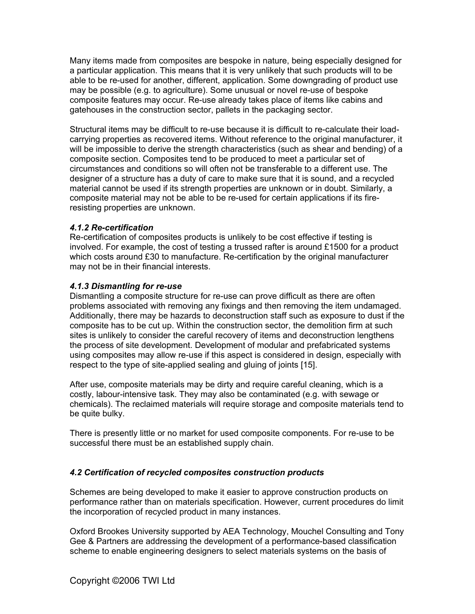Many items made from composites are bespoke in nature, being especially designed for a particular application. This means that it is very unlikely that such products will to be able to be re-used for another, different, application. Some downgrading of product use may be possible (e.g. to agriculture). Some unusual or novel re-use of bespoke composite features may occur. Re-use already takes place of items like cabins and gatehouses in the construction sector, pallets in the packaging sector.

Structural items may be difficult to re-use because it is difficult to re-calculate their loadcarrying properties as recovered items. Without reference to the original manufacturer, it will be impossible to derive the strength characteristics (such as shear and bending) of a composite section. Composites tend to be produced to meet a particular set of circumstances and conditions so will often not be transferable to a different use. The designer of a structure has a duty of care to make sure that it is sound, and a recycled material cannot be used if its strength properties are unknown or in doubt. Similarly, a composite material may not be able to be re-used for certain applications if its fireresisting properties are unknown.

#### *4.1.2 Re-certification*

Re-certification of composites products is unlikely to be cost effective if testing is involved. For example, the cost of testing a trussed rafter is around £1500 for a product which costs around £30 to manufacture. Re-certification by the original manufacturer may not be in their financial interests.

#### *4.1.3 Dismantling for re-use*

Dismantling a composite structure for re-use can prove difficult as there are often problems associated with removing any fixings and then removing the item undamaged. Additionally, there may be hazards to deconstruction staff such as exposure to dust if the composite has to be cut up. Within the construction sector, the demolition firm at such sites is unlikely to consider the careful recovery of items and deconstruction lengthens the process of site development. Development of modular and prefabricated systems using composites may allow re-use if this aspect is considered in design, especially with respect to the type of site-applied sealing and gluing of joints [15].

After use, composite materials may be dirty and require careful cleaning, which is a costly, labour-intensive task. They may also be contaminated (e.g. with sewage or chemicals). The reclaimed materials will require storage and composite materials tend to be quite bulky.

There is presently little or no market for used composite components. For re-use to be successful there must be an established supply chain.

#### *4.2 Certification of recycled composites construction products*

Schemes are being developed to make it easier to approve construction products on performance rather than on materials specification. However, current procedures do limit the incorporation of recycled product in many instances.

Oxford Brookes University supported by AEA Technology, Mouchel Consulting and Tony Gee & Partners are addressing the development of a performance-based classification scheme to enable engineering designers to select materials systems on the basis of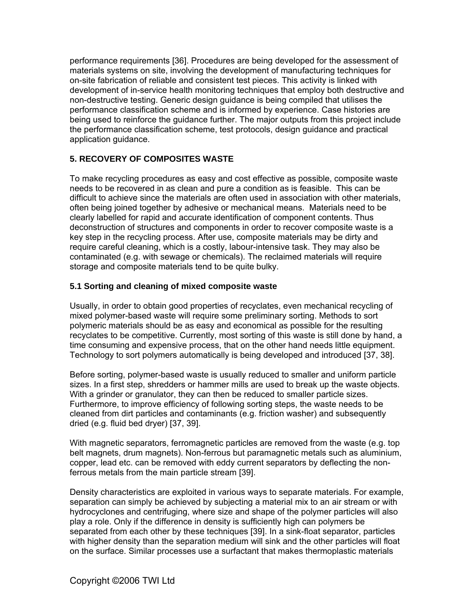performance requirements [36]. Procedures are being developed for the assessment of materials systems on site, involving the development of manufacturing techniques for on-site fabrication of reliable and consistent test pieces. This activity is linked with development of in-service health monitoring techniques that employ both destructive and non-destructive testing. Generic design guidance is being compiled that utilises the performance classification scheme and is informed by experience. Case histories are being used to reinforce the guidance further. The major outputs from this project include the performance classification scheme, test protocols, design guidance and practical application guidance.

#### **5. RECOVERY OF COMPOSITES WASTE**

To make recycling procedures as easy and cost effective as possible, composite waste needs to be recovered in as clean and pure a condition as is feasible. This can be difficult to achieve since the materials are often used in association with other materials, often being joined together by adhesive or mechanical means. Materials need to be clearly labelled for rapid and accurate identification of component contents. Thus deconstruction of structures and components in order to recover composite waste is a key step in the recycling process. After use, composite materials may be dirty and require careful cleaning, which is a costly, labour-intensive task. They may also be contaminated (e.g. with sewage or chemicals). The reclaimed materials will require storage and composite materials tend to be quite bulky.

#### **5.1 Sorting and cleaning of mixed composite waste**

Usually, in order to obtain good properties of recyclates, even mechanical recycling of mixed polymer-based waste will require some preliminary sorting. Methods to sort polymeric materials should be as easy and economical as possible for the resulting recyclates to be competitive. Currently, most sorting of this waste is still done by hand, a time consuming and expensive process, that on the other hand needs little equipment. Technology to sort polymers automatically is being developed and introduced [37, 38].

Before sorting, polymer-based waste is usually reduced to smaller and uniform particle sizes. In a first step, shredders or hammer mills are used to break up the waste objects. With a grinder or granulator, they can then be reduced to smaller particle sizes. Furthermore, to improve efficiency of following sorting steps, the waste needs to be cleaned from dirt particles and contaminants (e.g. friction washer) and subsequently dried (e.g. fluid bed dryer) [37, 39].

With magnetic separators, ferromagnetic particles are removed from the waste (e.g. top belt magnets, drum magnets). Non-ferrous but paramagnetic metals such as aluminium, copper, lead etc. can be removed with eddy current separators by deflecting the nonferrous metals from the main particle stream [39].

Density characteristics are exploited in various ways to separate materials. For example, separation can simply be achieved by subjecting a material mix to an air stream or with hydrocyclones and centrifuging, where size and shape of the polymer particles will also play a role. Only if the difference in density is sufficiently high can polymers be separated from each other by these techniques [39]. In a sink-float separator, particles with higher density than the separation medium will sink and the other particles will float on the surface. Similar processes use a surfactant that makes thermoplastic materials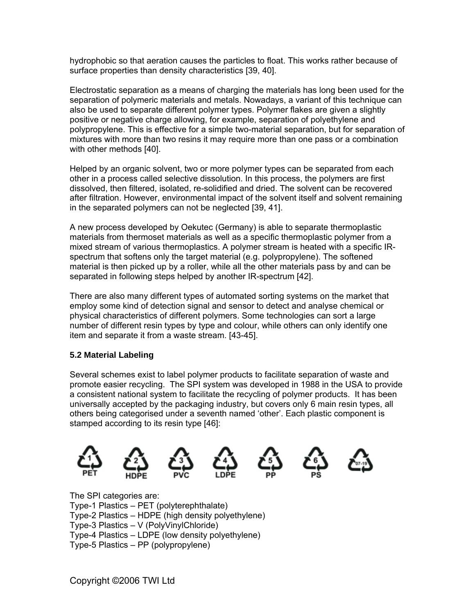hydrophobic so that aeration causes the particles to float. This works rather because of surface properties than density characteristics [39, 40].

Electrostatic separation as a means of charging the materials has long been used for the separation of polymeric materials and metals. Nowadays, a variant of this technique can also be used to separate different polymer types. Polymer flakes are given a slightly positive or negative charge allowing, for example, separation of polyethylene and polypropylene. This is effective for a simple two-material separation, but for separation of mixtures with more than two resins it may require more than one pass or a combination with other methods [40].

Helped by an organic solvent, two or more polymer types can be separated from each other in a process called selective dissolution. In this process, the polymers are first dissolved, then filtered, isolated, re-solidified and dried. The solvent can be recovered after filtration. However, environmental impact of the solvent itself and solvent remaining in the separated polymers can not be neglected [39, 41].

A new process developed by Oekutec (Germany) is able to separate thermoplastic materials from thermoset materials as well as a specific thermoplastic polymer from a mixed stream of various thermoplastics. A polymer stream is heated with a specific IRspectrum that softens only the target material (e.g. polypropylene). The softened material is then picked up by a roller, while all the other materials pass by and can be separated in following steps helped by another IR-spectrum [42].

There are also many different types of automated sorting systems on the market that employ some kind of detection signal and sensor to detect and analyse chemical or physical characteristics of different polymers. Some technologies can sort a large number of different resin types by type and colour, while others can only identify one item and separate it from a waste stream. [43-45].

#### **5.2 Material Labeling**

Several schemes exist to label polymer products to facilitate separation of waste and promote easier recycling. The SPI system was developed in 1988 in the USA to provide a consistent national system to facilitate the recycling of polymer products. It has been universally accepted by the packaging industry, but covers only 6 main resin types, all others being categorised under a seventh named 'other'. Each plastic component is stamped according to its resin type [46]:



The SPI categories are: Type-1 Plastics – PET (polyterephthalate) Type-2 Plastics – HDPE (high density polyethylene) Type-3 Plastics – V (PolyVinylChloride) Type-4 Plastics – LDPE (low density polyethylene) Type-5 Plastics – PP (polypropylene)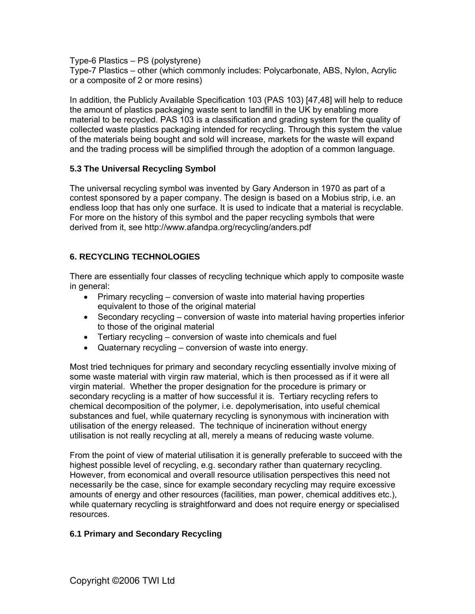Type-6 Plastics – PS (polystyrene) Type-7 Plastics – other (which commonly includes: Polycarbonate, ABS, Nylon, Acrylic or a composite of 2 or more resins)

In addition, the Publicly Available Specification 103 (PAS 103) [47,48] will help to reduce the amount of plastics packaging waste sent to landfill in the UK by enabling more material to be recycled. PAS 103 is a classification and grading system for the quality of collected waste plastics packaging intended for recycling. Through this system the value of the materials being bought and sold will increase, markets for the waste will expand and the trading process will be simplified through the adoption of a common language.

#### **5.3 The Universal Recycling Symbol**

The universal recycling symbol was invented by Gary Anderson in 1970 as part of a contest sponsored by a paper company. The design is based on a Mobius strip, i.e. an endless loop that has only one surface. It is used to indicate that a material is recyclable. For more on the history of this symbol and the paper recycling symbols that were derived from it, see http://www.afandpa.org/recycling/anders.pdf

#### **6. RECYCLING TECHNOLOGIES**

There are essentially four classes of recycling technique which apply to composite waste in general:

- Primary recycling conversion of waste into material having properties equivalent to those of the original material
- Secondary recycling conversion of waste into material having properties inferior to those of the original material
- Tertiary recycling conversion of waste into chemicals and fuel
- Quaternary recycling conversion of waste into energy.

Most tried techniques for primary and secondary recycling essentially involve mixing of some waste material with virgin raw material, which is then processed as if it were all virgin material. Whether the proper designation for the procedure is primary or secondary recycling is a matter of how successful it is. Tertiary recycling refers to chemical decomposition of the polymer, i.e. depolymerisation, into useful chemical substances and fuel, while quaternary recycling is synonymous with incineration with utilisation of the energy released. The technique of incineration without energy utilisation is not really recycling at all, merely a means of reducing waste volume.

From the point of view of material utilisation it is generally preferable to succeed with the highest possible level of recycling, e.g. secondary rather than quaternary recycling. However, from economical and overall resource utilisation perspectives this need not necessarily be the case, since for example secondary recycling may require excessive amounts of energy and other resources (facilities, man power, chemical additives etc.), while quaternary recycling is straightforward and does not require energy or specialised resources.

#### **6.1 Primary and Secondary Recycling**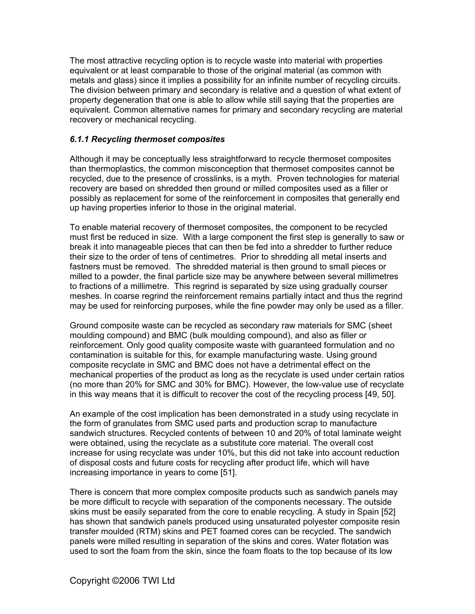The most attractive recycling option is to recycle waste into material with properties equivalent or at least comparable to those of the original material (as common with metals and glass) since it implies a possibility for an infinite number of recycling circuits. The division between primary and secondary is relative and a question of what extent of property degeneration that one is able to allow while still saying that the properties are equivalent. Common alternative names for primary and secondary recycling are material recovery or mechanical recycling.

#### *6.1.1 Recycling thermoset composites*

Although it may be conceptually less straightforward to recycle thermoset composites than thermoplastics, the common misconception that thermoset composites cannot be recycled, due to the presence of crosslinks, is a myth. Proven technologies for material recovery are based on shredded then ground or milled composites used as a filler or possibly as replacement for some of the reinforcement in composites that generally end up having properties inferior to those in the original material.

To enable material recovery of thermoset composites, the component to be recycled must first be reduced in size. With a large component the first step is generally to saw or break it into manageable pieces that can then be fed into a shredder to further reduce their size to the order of tens of centimetres. Prior to shredding all metal inserts and fastners must be removed. The shredded material is then ground to small pieces or milled to a powder, the final particle size may be anywhere between several millimetres to fractions of a millimetre. This regrind is separated by size using gradually courser meshes. In coarse regrind the reinforcement remains partially intact and thus the regrind may be used for reinforcing purposes, while the fine powder may only be used as a filler.

Ground composite waste can be recycled as secondary raw materials for SMC (sheet moulding compound) and BMC (bulk moulding compound), and also as filler or reinforcement. Only good quality composite waste with guaranteed formulation and no contamination is suitable for this, for example manufacturing waste. Using ground composite recyclate in SMC and BMC does not have a detrimental effect on the mechanical properties of the product as long as the recyclate is used under certain ratios (no more than 20% for SMC and 30% for BMC). However, the low-value use of recyclate in this way means that it is difficult to recover the cost of the recycling process [49, 50].

An example of the cost implication has been demonstrated in a study using recyclate in the form of granulates from SMC used parts and production scrap to manufacture sandwich structures. Recycled contents of between 10 and 20% of total laminate weight were obtained, using the recyclate as a substitute core material. The overall cost increase for using recyclate was under 10%, but this did not take into account reduction of disposal costs and future costs for recycling after product life, which will have increasing importance in years to come [51].

There is concern that more complex composite products such as sandwich panels may be more difficult to recycle with separation of the components necessary. The outside skins must be easily separated from the core to enable recycling. A study in Spain [52] has shown that sandwich panels produced using unsaturated polyester composite resin transfer moulded (RTM) skins and PET foamed cores can be recycled. The sandwich panels were milled resulting in separation of the skins and cores. Water flotation was used to sort the foam from the skin, since the foam floats to the top because of its low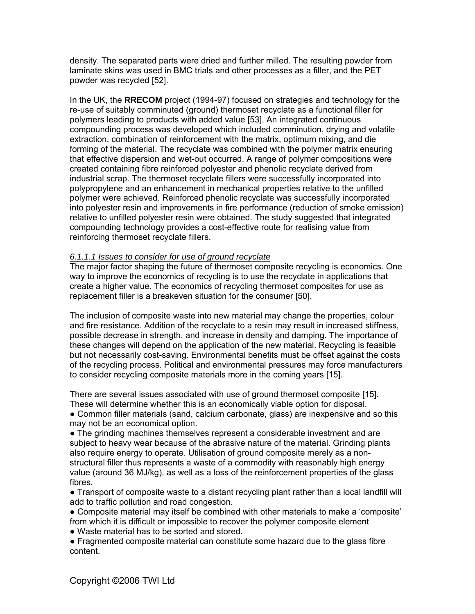density. The separated parts were dried and further milled. The resulting powder from laminate skins was used in BMC trials and other processes as a filler, and the PET powder was recycled [52].

In the UK, the **RRECOM** project (1994-97) focused on strategies and technology for the re-use of suitably comminuted (ground) thermoset recyclate as a functional filler for polymers leading to products with added value [53]. An integrated continuous compounding process was developed which included comminution, drying and volatile extraction, combination of reinforcement with the matrix, optimum mixing, and die forming of the material. The recyclate was combined with the polymer matrix ensuring that effective dispersion and wet-out occurred. A range of polymer compositions were created containing fibre reinforced polyester and phenolic recyclate derived from industrial scrap. The thermoset recyclate fillers were successfully incorporated into polypropylene and an enhancement in mechanical properties relative to the unfilled polymer were achieved. Reinforced phenolic recyclate was successfully incorporated into polyester resin and improvements in fire performance (reduction of smoke emission) relative to unfilled polyester resin were obtained. The study suggested that integrated compounding technology provides a cost-effective route for realising value from reinforcing thermoset recyclate fillers.

#### *6.1.1.1 Issues to consider for use of ground recyclate*

The major factor shaping the future of thermoset composite recycling is economics. One way to improve the economics of recycling is to use the recyclate in applications that create a higher value. The economics of recycling thermoset composites for use as replacement filler is a breakeven situation for the consumer [50].

The inclusion of composite waste into new material may change the properties, colour and fire resistance. Addition of the recyclate to a resin may result in increased stiffness, possible decrease in strength, and increase in density and damping. The importance of these changes will depend on the application of the new material. Recycling is feasible but not necessarily cost-saving. Environmental benefits must be offset against the costs of the recycling process. Political and environmental pressures may force manufacturers to consider recycling composite materials more in the coming years [15].

There are several issues associated with use of ground thermoset composite [15]. These will determine whether this is an economically viable option for disposal.

• Common filler materials (sand, calcium carbonate, glass) are inexpensive and so this may not be an economical option.

● The grinding machines themselves represent a considerable investment and are subject to heavy wear because of the abrasive nature of the material. Grinding plants also require energy to operate. Utilisation of ground composite merely as a nonstructural filler thus represents a waste of a commodity with reasonably high energy value (around 36 MJ/kg), as well as a loss of the reinforcement properties of the glass fibres.

● Transport of composite waste to a distant recycling plant rather than a local landfill will add to traffic pollution and road congestion.

• Composite material may itself be combined with other materials to make a 'composite' from which it is difficult or impossible to recover the polymer composite element

● Waste material has to be sorted and stored.

● Fragmented composite material can constitute some hazard due to the glass fibre content.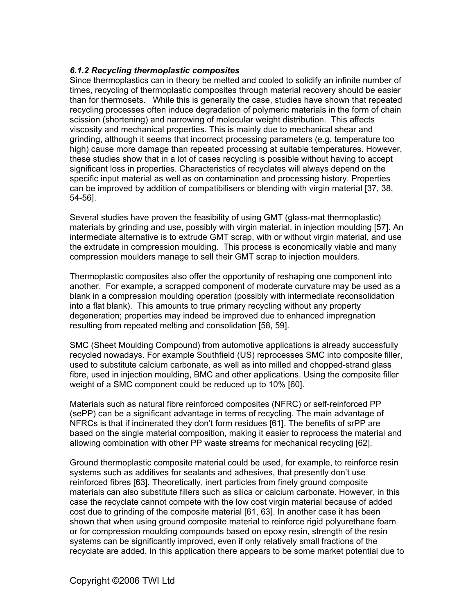#### *6.1.2 Recycling thermoplastic composites*

Since thermoplastics can in theory be melted and cooled to solidify an infinite number of times, recycling of thermoplastic composites through material recovery should be easier than for thermosets. While this is generally the case, studies have shown that repeated recycling processes often induce degradation of polymeric materials in the form of chain scission (shortening) and narrowing of molecular weight distribution. This affects viscosity and mechanical properties. This is mainly due to mechanical shear and grinding, although it seems that incorrect processing parameters (e.g. temperature too high) cause more damage than repeated processing at suitable temperatures. However, these studies show that in a lot of cases recycling is possible without having to accept significant loss in properties. Characteristics of recyclates will always depend on the specific input material as well as on contamination and processing history. Properties can be improved by addition of compatibilisers or blending with virgin material [37, 38, 54-56].

Several studies have proven the feasibility of using GMT (glass-mat thermoplastic) materials by grinding and use, possibly with virgin material, in injection moulding [57]. An intermediate alternative is to extrude GMT scrap, with or without virgin material, and use the extrudate in compression moulding. This process is economically viable and many compression moulders manage to sell their GMT scrap to injection moulders.

Thermoplastic composites also offer the opportunity of reshaping one component into another. For example, a scrapped component of moderate curvature may be used as a blank in a compression moulding operation (possibly with intermediate reconsolidation into a flat blank). This amounts to true primary recycling without any property degeneration; properties may indeed be improved due to enhanced impregnation resulting from repeated melting and consolidation [58, 59].

SMC (Sheet Moulding Compound) from automotive applications is already successfully recycled nowadays. For example Southfield (US) reprocesses SMC into composite filler, used to substitute calcium carbonate, as well as into milled and chopped-strand glass fibre, used in injection moulding, BMC and other applications. Using the composite filler weight of a SMC component could be reduced up to 10% [60].

Materials such as natural fibre reinforced composites (NFRC) or self-reinforced PP (sePP) can be a significant advantage in terms of recycling. The main advantage of NFRCs is that if incinerated they don't form residues [61]. The benefits of srPP are based on the single material composition, making it easier to reprocess the material and allowing combination with other PP waste streams for mechanical recycling [62].

Ground thermoplastic composite material could be used, for example, to reinforce resin systems such as additives for sealants and adhesives, that presently don't use reinforced fibres [63]. Theoretically, inert particles from finely ground composite materials can also substitute fillers such as silica or calcium carbonate. However, in this case the recyclate cannot compete with the low cost virgin material because of added cost due to grinding of the composite material [61, 63]. In another case it has been shown that when using ground composite material to reinforce rigid polyurethane foam or for compression moulding compounds based on epoxy resin, strength of the resin systems can be significantly improved, even if only relatively small fractions of the recyclate are added. In this application there appears to be some market potential due to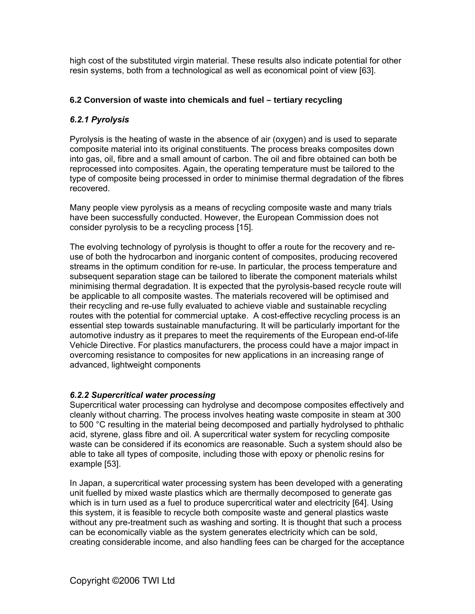high cost of the substituted virgin material. These results also indicate potential for other resin systems, both from a technological as well as economical point of view [63].

#### **6.2 Conversion of waste into chemicals and fuel – tertiary recycling**

#### *6.2.1 Pyrolysis*

Pyrolysis is the heating of waste in the absence of air (oxygen) and is used to separate composite material into its original constituents. The process breaks composites down into gas, oil, fibre and a small amount of carbon. The oil and fibre obtained can both be reprocessed into composites. Again, the operating temperature must be tailored to the type of composite being processed in order to minimise thermal degradation of the fibres recovered.

Many people view pyrolysis as a means of recycling composite waste and many trials have been successfully conducted. However, the European Commission does not consider pyrolysis to be a recycling process [15].

The evolving technology of pyrolysis is thought to offer a route for the recovery and reuse of both the hydrocarbon and inorganic content of composites, producing recovered streams in the optimum condition for re-use. In particular, the process temperature and subsequent separation stage can be tailored to liberate the component materials whilst minimising thermal degradation. It is expected that the pyrolysis-based recycle route will be applicable to all composite wastes. The materials recovered will be optimised and their recycling and re-use fully evaluated to achieve viable and sustainable recycling routes with the potential for commercial uptake. A cost-effective recycling process is an essential step towards sustainable manufacturing. It will be particularly important for the automotive industry as it prepares to meet the requirements of the European end-of-life Vehicle Directive. For plastics manufacturers, the process could have a major impact in overcoming resistance to composites for new applications in an increasing range of advanced, lightweight components

#### *6.2.2 Supercritical water processing*

Supercritical water processing can hydrolyse and decompose composites effectively and cleanly without charring. The process involves heating waste composite in steam at 300 to 500 °C resulting in the material being decomposed and partially hydrolysed to phthalic acid, styrene, glass fibre and oil. A supercritical water system for recycling composite waste can be considered if its economics are reasonable. Such a system should also be able to take all types of composite, including those with epoxy or phenolic resins for example [53].

In Japan, a supercritical water processing system has been developed with a generating unit fuelled by mixed waste plastics which are thermally decomposed to generate gas which is in turn used as a fuel to produce supercritical water and electricity [64]. Using this system, it is feasible to recycle both composite waste and general plastics waste without any pre-treatment such as washing and sorting. It is thought that such a process can be economically viable as the system generates electricity which can be sold, creating considerable income, and also handling fees can be charged for the acceptance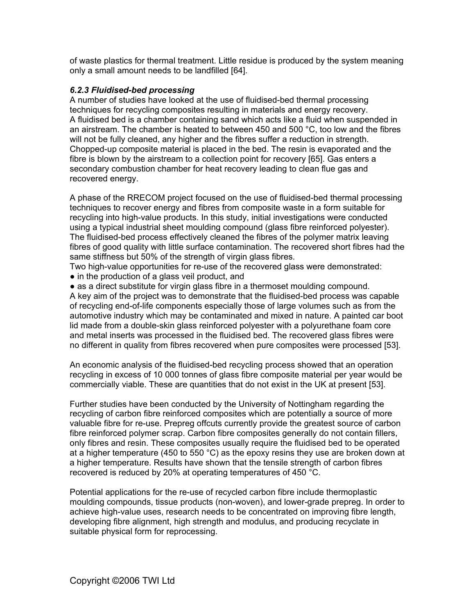of waste plastics for thermal treatment. Little residue is produced by the system meaning only a small amount needs to be landfilled [64].

#### *6.2.3 Fluidised-bed processing*

A number of studies have looked at the use of fluidised-bed thermal processing techniques for recycling composites resulting in materials and energy recovery. A fluidised bed is a chamber containing sand which acts like a fluid when suspended in an airstream. The chamber is heated to between 450 and 500 °C, too low and the fibres will not be fully cleaned, any higher and the fibres suffer a reduction in strength. Chopped-up composite material is placed in the bed. The resin is evaporated and the fibre is blown by the airstream to a collection point for recovery [65]. Gas enters a secondary combustion chamber for heat recovery leading to clean flue gas and recovered energy.

A phase of the RRECOM project focused on the use of fluidised-bed thermal processing techniques to recover energy and fibres from composite waste in a form suitable for recycling into high-value products. In this study, initial investigations were conducted using a typical industrial sheet moulding compound (glass fibre reinforced polyester). The fluidised-bed process effectively cleaned the fibres of the polymer matrix leaving fibres of good quality with little surface contamination. The recovered short fibres had the same stiffness but 50% of the strength of virgin glass fibres.

Two high-value opportunities for re-use of the recovered glass were demonstrated:

• in the production of a glass veil product, and

• as a direct substitute for virgin glass fibre in a thermoset moulding compound.

A key aim of the project was to demonstrate that the fluidised-bed process was capable of recycling end-of-life components especially those of large volumes such as from the automotive industry which may be contaminated and mixed in nature. A painted car boot lid made from a double-skin glass reinforced polyester with a polyurethane foam core and metal inserts was processed in the fluidised bed. The recovered glass fibres were no different in quality from fibres recovered when pure composites were processed [53].

An economic analysis of the fluidised-bed recycling process showed that an operation recycling in excess of 10 000 tonnes of glass fibre composite material per year would be commercially viable. These are quantities that do not exist in the UK at present [53].

Further studies have been conducted by the University of Nottingham regarding the recycling of carbon fibre reinforced composites which are potentially a source of more valuable fibre for re-use. Prepreg offcuts currently provide the greatest source of carbon fibre reinforced polymer scrap. Carbon fibre composites generally do not contain fillers, only fibres and resin. These composites usually require the fluidised bed to be operated at a higher temperature (450 to 550  $^{\circ}$ C) as the epoxy resins they use are broken down at a higher temperature. Results have shown that the tensile strength of carbon fibres recovered is reduced by 20% at operating temperatures of 450 °C.

Potential applications for the re-use of recycled carbon fibre include thermoplastic moulding compounds, tissue products (non-woven), and lower-grade prepreg. In order to achieve high-value uses, research needs to be concentrated on improving fibre length, developing fibre alignment, high strength and modulus, and producing recyclate in suitable physical form for reprocessing.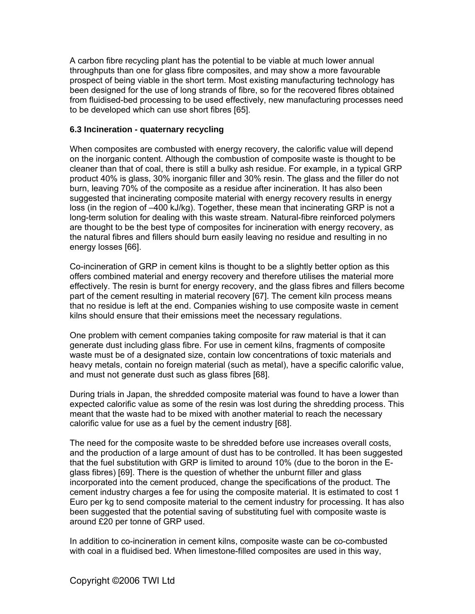A carbon fibre recycling plant has the potential to be viable at much lower annual throughputs than one for glass fibre composites, and may show a more favourable prospect of being viable in the short term. Most existing manufacturing technology has been designed for the use of long strands of fibre, so for the recovered fibres obtained from fluidised-bed processing to be used effectively, new manufacturing processes need to be developed which can use short fibres [65].

#### **6.3 Incineration - quaternary recycling**

When composites are combusted with energy recovery, the calorific value will depend on the inorganic content. Although the combustion of composite waste is thought to be cleaner than that of coal, there is still a bulky ash residue. For example, in a typical GRP product 40% is glass, 30% inorganic filler and 30% resin. The glass and the filler do not burn, leaving 70% of the composite as a residue after incineration. It has also been suggested that incinerating composite material with energy recovery results in energy loss (in the region of –400 kJ/kg). Together, these mean that incinerating GRP is not a long-term solution for dealing with this waste stream. Natural-fibre reinforced polymers are thought to be the best type of composites for incineration with energy recovery, as the natural fibres and fillers should burn easily leaving no residue and resulting in no energy losses [66].

Co-incineration of GRP in cement kilns is thought to be a slightly better option as this offers combined material and energy recovery and therefore utilises the material more effectively. The resin is burnt for energy recovery, and the glass fibres and fillers become part of the cement resulting in material recovery [67]. The cement kiln process means that no residue is left at the end. Companies wishing to use composite waste in cement kilns should ensure that their emissions meet the necessary regulations.

One problem with cement companies taking composite for raw material is that it can generate dust including glass fibre. For use in cement kilns, fragments of composite waste must be of a designated size, contain low concentrations of toxic materials and heavy metals, contain no foreign material (such as metal), have a specific calorific value, and must not generate dust such as glass fibres [68].

During trials in Japan, the shredded composite material was found to have a lower than expected calorific value as some of the resin was lost during the shredding process. This meant that the waste had to be mixed with another material to reach the necessary calorific value for use as a fuel by the cement industry [68].

The need for the composite waste to be shredded before use increases overall costs, and the production of a large amount of dust has to be controlled. It has been suggested that the fuel substitution with GRP is limited to around 10% (due to the boron in the Eglass fibres) [69]. There is the question of whether the unburnt filler and glass incorporated into the cement produced, change the specifications of the product. The cement industry charges a fee for using the composite material. It is estimated to cost 1 Euro per kg to send composite material to the cement industry for processing. It has also been suggested that the potential saving of substituting fuel with composite waste is around £20 per tonne of GRP used.

In addition to co-incineration in cement kilns, composite waste can be co-combusted with coal in a fluidised bed. When limestone-filled composites are used in this way,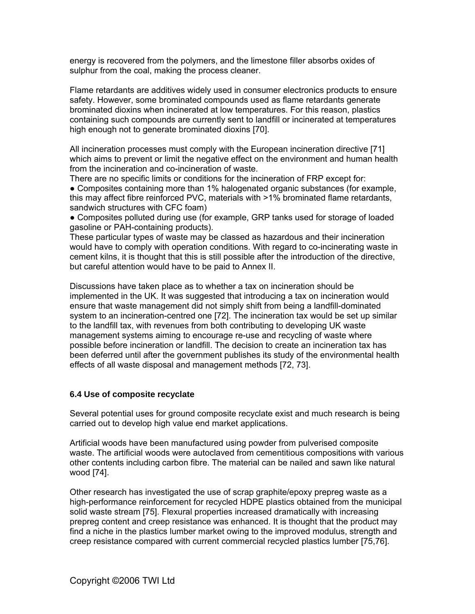energy is recovered from the polymers, and the limestone filler absorbs oxides of sulphur from the coal, making the process cleaner.

Flame retardants are additives widely used in consumer electronics products to ensure safety. However, some brominated compounds used as flame retardants generate brominated dioxins when incinerated at low temperatures. For this reason, plastics containing such compounds are currently sent to landfill or incinerated at temperatures high enough not to generate brominated dioxins [70].

All incineration processes must comply with the European incineration directive [71] which aims to prevent or limit the negative effect on the environment and human health from the incineration and co-incineration of waste.

There are no specific limits or conditions for the incineration of FRP except for: ● Composites containing more than 1% halogenated organic substances (for example, this may affect fibre reinforced PVC, materials with >1% brominated flame retardants, sandwich structures with CFC foam)

● Composites polluted during use (for example, GRP tanks used for storage of loaded gasoline or PAH-containing products).

These particular types of waste may be classed as hazardous and their incineration would have to comply with operation conditions. With regard to co-incinerating waste in cement kilns, it is thought that this is still possible after the introduction of the directive, but careful attention would have to be paid to Annex II.

Discussions have taken place as to whether a tax on incineration should be implemented in the UK. It was suggested that introducing a tax on incineration would ensure that waste management did not simply shift from being a landfill-dominated system to an incineration-centred one [72]. The incineration tax would be set up similar to the landfill tax, with revenues from both contributing to developing UK waste management systems aiming to encourage re-use and recycling of waste where possible before incineration or landfill. The decision to create an incineration tax has been deferred until after the government publishes its study of the environmental health effects of all waste disposal and management methods [72, 73].

#### **6.4 Use of composite recyclate**

Several potential uses for ground composite recyclate exist and much research is being carried out to develop high value end market applications.

Artificial woods have been manufactured using powder from pulverised composite waste. The artificial woods were autoclaved from cementitious compositions with various other contents including carbon fibre. The material can be nailed and sawn like natural wood [74].

Other research has investigated the use of scrap graphite/epoxy prepreg waste as a high-performance reinforcement for recycled HDPE plastics obtained from the municipal solid waste stream [75]. Flexural properties increased dramatically with increasing prepreg content and creep resistance was enhanced. It is thought that the product may find a niche in the plastics lumber market owing to the improved modulus, strength and creep resistance compared with current commercial recycled plastics lumber [75,76].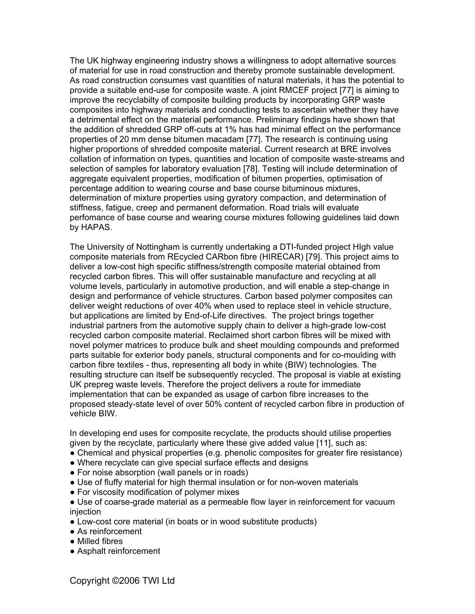The UK highway engineering industry shows a willingness to adopt alternative sources of material for use in road construction and thereby promote sustainable development. As road construction consumes vast quantities of natural materials, it has the potential to provide a suitable end-use for composite waste. A joint RMCEF project [77] is aiming to improve the recyclabilty of composite building products by incorporating GRP waste composites into highway materials and conducting tests to ascertain whether they have a detrimental effect on the material performance. Preliminary findings have shown that the addition of shredded GRP off-cuts at 1% has had minimal effect on the performance properties of 20 mm dense bitumen macadam [77]. The research is continuing using higher proportions of shredded composite material. Current research at BRE involves collation of information on types, quantities and location of composite waste-streams and selection of samples for laboratory evaluation [78]. Testing will include determination of aggregate equivalent properties, modification of bitumen properties, optimisation of percentage addition to wearing course and base course bituminous mixtures, determination of mixture properties using gyratory compaction, and determination of stiffness, fatigue, creep and permanent deformation. Road trials will evaluate perfomance of base course and wearing course mixtures following guidelines laid down by HAPAS.

The University of Nottingham is currently undertaking a DTI-funded project HIgh value composite materials from REcycled CARbon fibre (HIRECAR) [79]. This project aims to deliver a low-cost high specific stiffness/strength composite material obtained from recycled carbon fibres. This will offer sustainable manufacture and recycling at all volume levels, particularly in automotive production, and will enable a step-change in design and performance of vehicle structures. Carbon based polymer composites can deliver weight reductions of over 40% when used to replace steel in vehicle structure, but applications are limited by End-of-Life directives. The project brings together industrial partners from the automotive supply chain to deliver a high-grade low-cost recycled carbon composite material. Reclaimed short carbon fibres will be mixed with novel polymer matrices to produce bulk and sheet moulding compounds and preformed parts suitable for exterior body panels, structural components and for co-moulding with carbon fibre textiles - thus, representing all body in white (BIW) technologies. The resulting structure can itself be subsequently recycled. The proposal is viable at existing UK prepreg waste levels. Therefore the project delivers a route for immediate implementation that can be expanded as usage of carbon fibre increases to the proposed steady-state level of over 50% content of recycled carbon fibre in production of vehicle BIW.

In developing end uses for composite recyclate, the products should utilise properties given by the recyclate, particularly where these give added value [11], such as:

- Chemical and physical properties (e.g. phenolic composites for greater fire resistance)
- Where recyclate can give special surface effects and designs
- For noise absorption (wall panels or in roads)
- Use of fluffy material for high thermal insulation or for non-woven materials
- For viscosity modification of polymer mixes
- Use of coarse-grade material as a permeable flow layer in reinforcement for vacuum injection
- Low-cost core material (in boats or in wood substitute products)
- As reinforcement
- Milled fibres
- Asphalt reinforcement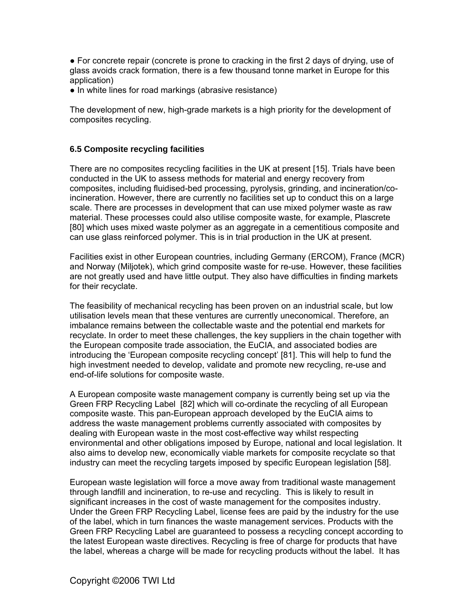● For concrete repair (concrete is prone to cracking in the first 2 days of drying, use of glass avoids crack formation, there is a few thousand tonne market in Europe for this application)

● In white lines for road markings (abrasive resistance)

The development of new, high-grade markets is a high priority for the development of composites recycling.

#### **6.5 Composite recycling facilities**

There are no composites recycling facilities in the UK at present [15]. Trials have been conducted in the UK to assess methods for material and energy recovery from composites, including fluidised-bed processing, pyrolysis, grinding, and incineration/coincineration. However, there are currently no facilities set up to conduct this on a large scale. There are processes in development that can use mixed polymer waste as raw material. These processes could also utilise composite waste, for example, Plascrete [80] which uses mixed waste polymer as an aggregate in a cementitious composite and can use glass reinforced polymer. This is in trial production in the UK at present.

Facilities exist in other European countries, including Germany (ERCOM), France (MCR) and Norway (Miljotek), which grind composite waste for re-use. However, these facilities are not greatly used and have little output. They also have difficulties in finding markets for their recyclate.

The feasibility of mechanical recycling has been proven on an industrial scale, but low utilisation levels mean that these ventures are currently uneconomical. Therefore, an imbalance remains between the collectable waste and the potential end markets for recyclate. In order to meet these challenges, the key suppliers in the chain together with the European composite trade association, the EuCIA, and associated bodies are introducing the 'European composite recycling concept' [81]. This will help to fund the high investment needed to develop, validate and promote new recycling, re-use and end-of-life solutions for composite waste.

A European composite waste management company is currently being set up via the Green FRP Recycling Label [82] which will co-ordinate the recycling of all European composite waste. This pan-European approach developed by the EuCIA aims to address the waste management problems currently associated with composites by dealing with European waste in the most cost-effective way whilst respecting environmental and other obligations imposed by Europe, national and local legislation. It also aims to develop new, economically viable markets for composite recyclate so that industry can meet the recycling targets imposed by specific European legislation [58].

European waste legislation will force a move away from traditional waste management through landfill and incineration, to re-use and recycling. This is likely to result in significant increases in the cost of waste management for the composites industry. Under the Green FRP Recycling Label, license fees are paid by the industry for the use of the label, which in turn finances the waste management services. Products with the Green FRP Recycling Label are guaranteed to possess a recycling concept according to the latest European waste directives. Recycling is free of charge for products that have the label, whereas a charge will be made for recycling products without the label. It has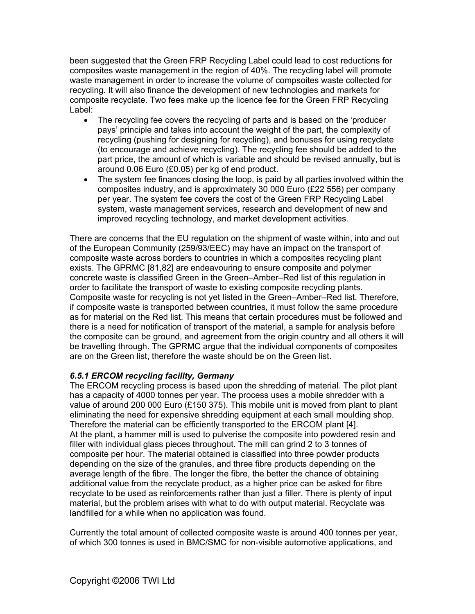been suggested that the Green FRP Recycling Label could lead to cost reductions for composites waste management in the region of 40%. The recycling label will promote waste management in order to increase the volume of compsoites waste collected for recycling. It will also finance the development of new technologies and markets for composite recyclate. Two fees make up the licence fee for the Green FRP Recycling Label:

- The recycling fee covers the recycling of parts and is based on the 'producer' pays' principle and takes into account the weight of the part, the complexity of recycling (pushing for designing for recycling), and bonuses for using recyclate (to encourage and achieve recycling). The recycling fee should be added to the part price, the amount of which is variable and should be revised annually, but is around 0.06 Euro (£0.05) per kg of end product.
- The system fee finances closing the loop, is paid by all parties involved within the composites industry, and is approximately 30 000 Euro (£22 556) per company per year. The system fee covers the cost of the Green FRP Recycling Label system, waste management services, research and development of new and improved recycling technology, and market development activities.

There are concerns that the EU regulation on the shipment of waste within, into and out of the European Community (259/93/EEC) may have an impact on the transport of composite waste across borders to countries in which a composites recycling plant exists. The GPRMC [81,82] are endeavouring to ensure composite and polymer concrete waste is classified Green in the Green–Amber–Red list of this regulation in order to facilitate the transport of waste to existing composite recycling plants. Composite waste for recycling is not yet listed in the Green–Amber–Red list. Therefore, if composite waste is transported between countries, it must follow the same procedure as for material on the Red list. This means that certain procedures must be followed and there is a need for notification of transport of the material, a sample for analysis before the composite can be ground, and agreement from the origin country and all others it will be travelling through. The GPRMC argue that the individual components of composites are on the Green list, therefore the waste should be on the Green list.

#### *6.5.1 ERCOM recycling facility, Germany*

The ERCOM recycling process is based upon the shredding of material. The pilot plant has a capacity of 4000 tonnes per year. The process uses a mobile shredder with a value of around 200 000 Euro (£150 375). This mobile unit is moved from plant to plant eliminating the need for expensive shredding equipment at each small moulding shop. Therefore the material can be efficiently transported to the ERCOM plant [4]. At the plant, a hammer mill is used to pulverise the composite into powdered resin and filler with individual glass pieces throughout. The mill can grind 2 to 3 tonnes of composite per hour. The material obtained is classified into three powder products depending on the size of the granules, and three fibre products depending on the average length of the fibre. The longer the fibre, the better the chance of obtaining additional value from the recyclate product, as a higher price can be asked for fibre recyclate to be used as reinforcements rather than just a filler. There is plenty of input material, but the problem arises with what to do with output material. Recyclate was landfilled for a while when no application was found.

Currently the total amount of collected composite waste is around 400 tonnes per year, of which 300 tonnes is used in BMC/SMC for non-visible automotive applications, and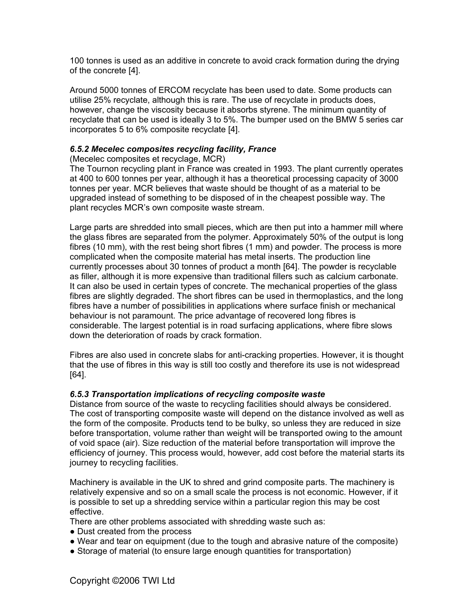100 tonnes is used as an additive in concrete to avoid crack formation during the drying of the concrete [4].

Around 5000 tonnes of ERCOM recyclate has been used to date. Some products can utilise 25% recyclate, although this is rare. The use of recyclate in products does, however, change the viscosity because it absorbs styrene. The minimum quantity of recyclate that can be used is ideally 3 to 5%. The bumper used on the BMW 5 series car incorporates 5 to 6% composite recyclate [4].

#### *6.5.2 Mecelec composites recycling facility, France*

#### (Mecelec composites et recyclage, MCR)

The Tournon recycling plant in France was created in 1993. The plant currently operates at 400 to 600 tonnes per year, although it has a theoretical processing capacity of 3000 tonnes per year. MCR believes that waste should be thought of as a material to be upgraded instead of something to be disposed of in the cheapest possible way. The plant recycles MCR's own composite waste stream.

Large parts are shredded into small pieces, which are then put into a hammer mill where the glass fibres are separated from the polymer. Approximately 50% of the output is long fibres (10 mm), with the rest being short fibres (1 mm) and powder. The process is more complicated when the composite material has metal inserts. The production line currently processes about 30 tonnes of product a month [64]. The powder is recyclable as filler, although it is more expensive than traditional fillers such as calcium carbonate. It can also be used in certain types of concrete. The mechanical properties of the glass fibres are slightly degraded. The short fibres can be used in thermoplastics, and the long fibres have a number of possibilities in applications where surface finish or mechanical behaviour is not paramount. The price advantage of recovered long fibres is considerable. The largest potential is in road surfacing applications, where fibre slows down the deterioration of roads by crack formation.

Fibres are also used in concrete slabs for anti-cracking properties. However, it is thought that the use of fibres in this way is still too costly and therefore its use is not widespread [64].

#### *6.5.3 Transportation implications of recycling composite waste*

Distance from source of the waste to recycling facilities should always be considered. The cost of transporting composite waste will depend on the distance involved as well as the form of the composite. Products tend to be bulky, so unless they are reduced in size before transportation, volume rather than weight will be transported owing to the amount of void space (air). Size reduction of the material before transportation will improve the efficiency of journey. This process would, however, add cost before the material starts its journey to recycling facilities.

Machinery is available in the UK to shred and grind composite parts. The machinery is relatively expensive and so on a small scale the process is not economic. However, if it is possible to set up a shredding service within a particular region this may be cost effective.

There are other problems associated with shredding waste such as:

- Dust created from the process
- Wear and tear on equipment (due to the tough and abrasive nature of the composite)
- Storage of material (to ensure large enough quantities for transportation)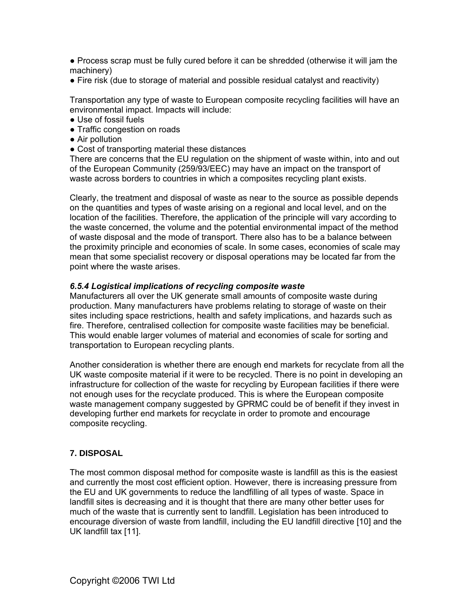● Process scrap must be fully cured before it can be shredded (otherwise it will jam the machinery)

• Fire risk (due to storage of material and possible residual catalyst and reactivity)

Transportation any type of waste to European composite recycling facilities will have an environmental impact. Impacts will include:

- Use of fossil fuels
- Traffic congestion on roads
- Air pollution
- Cost of transporting material these distances

There are concerns that the EU regulation on the shipment of waste within, into and out of the European Community (259/93/EEC) may have an impact on the transport of waste across borders to countries in which a composites recycling plant exists.

Clearly, the treatment and disposal of waste as near to the source as possible depends on the quantities and types of waste arising on a regional and local level, and on the location of the facilities. Therefore, the application of the principle will vary according to the waste concerned, the volume and the potential environmental impact of the method of waste disposal and the mode of transport. There also has to be a balance between the proximity principle and economies of scale. In some cases, economies of scale may mean that some specialist recovery or disposal operations may be located far from the point where the waste arises.

#### *6.5.4 Logistical implications of recycling composite waste*

Manufacturers all over the UK generate small amounts of composite waste during production. Many manufacturers have problems relating to storage of waste on their sites including space restrictions, health and safety implications, and hazards such as fire. Therefore, centralised collection for composite waste facilities may be beneficial. This would enable larger volumes of material and economies of scale for sorting and transportation to European recycling plants.

Another consideration is whether there are enough end markets for recyclate from all the UK waste composite material if it were to be recycled. There is no point in developing an infrastructure for collection of the waste for recycling by European facilities if there were not enough uses for the recyclate produced. This is where the European composite waste management company suggested by GPRMC could be of benefit if they invest in developing further end markets for recyclate in order to promote and encourage composite recycling.

#### **7. DISPOSAL**

The most common disposal method for composite waste is landfill as this is the easiest and currently the most cost efficient option. However, there is increasing pressure from the EU and UK governments to reduce the landfilling of all types of waste. Space in landfill sites is decreasing and it is thought that there are many other better uses for much of the waste that is currently sent to landfill. Legislation has been introduced to encourage diversion of waste from landfill, including the EU landfill directive [10] and the UK landfill tax [11].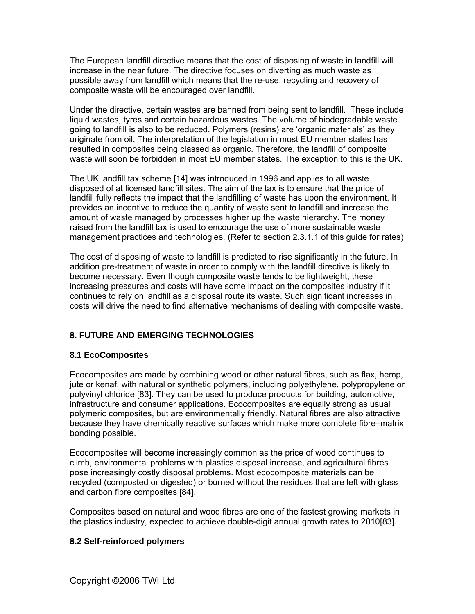The European landfill directive means that the cost of disposing of waste in landfill will increase in the near future. The directive focuses on diverting as much waste as possible away from landfill which means that the re-use, recycling and recovery of composite waste will be encouraged over landfill.

Under the directive, certain wastes are banned from being sent to landfill. These include liquid wastes, tyres and certain hazardous wastes. The volume of biodegradable waste going to landfill is also to be reduced. Polymers (resins) are 'organic materials' as they originate from oil. The interpretation of the legislation in most EU member states has resulted in composites being classed as organic. Therefore, the landfill of composite waste will soon be forbidden in most EU member states. The exception to this is the UK.

The UK landfill tax scheme [14] was introduced in 1996 and applies to all waste disposed of at licensed landfill sites. The aim of the tax is to ensure that the price of landfill fully reflects the impact that the landfilling of waste has upon the environment. It provides an incentive to reduce the quantity of waste sent to landfill and increase the amount of waste managed by processes higher up the waste hierarchy. The money raised from the landfill tax is used to encourage the use of more sustainable waste management practices and technologies. (Refer to section 2.3.1.1 of this guide for rates)

The cost of disposing of waste to landfill is predicted to rise significantly in the future. In addition pre-treatment of waste in order to comply with the landfill directive is likely to become necessary. Even though composite waste tends to be lightweight, these increasing pressures and costs will have some impact on the composites industry if it continues to rely on landfill as a disposal route its waste. Such significant increases in costs will drive the need to find alternative mechanisms of dealing with composite waste.

#### **8. FUTURE AND EMERGING TECHNOLOGIES**

#### **8.1 EcoComposites**

Ecocomposites are made by combining wood or other natural fibres, such as flax, hemp, jute or kenaf, with natural or synthetic polymers, including polyethylene, polypropylene or polyvinyl chloride [83]. They can be used to produce products for building, automotive, infrastructure and consumer applications. Ecocomposites are equally strong as usual polymeric composites, but are environmentally friendly. Natural fibres are also attractive because they have chemically reactive surfaces which make more complete fibre–matrix bonding possible.

Ecocomposites will become increasingly common as the price of wood continues to climb, environmental problems with plastics disposal increase, and agricultural fibres pose increasingly costly disposal problems. Most ecocomposite materials can be recycled (composted or digested) or burned without the residues that are left with glass and carbon fibre composites [84].

Composites based on natural and wood fibres are one of the fastest growing markets in the plastics industry, expected to achieve double-digit annual growth rates to 2010[83].

#### **8.2 Self-reinforced polymers**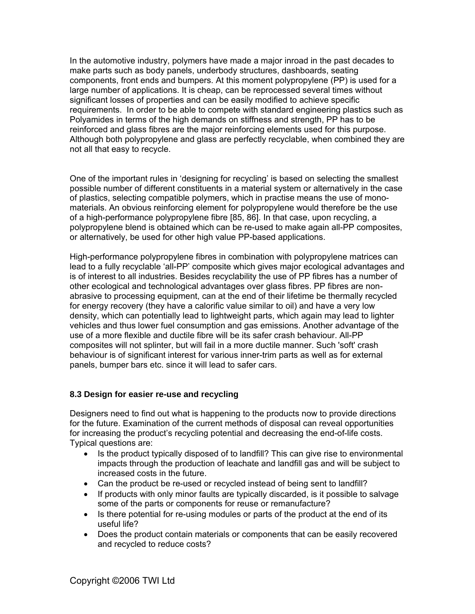In the automotive industry, polymers have made a major inroad in the past decades to make parts such as body panels, underbody structures, dashboards, seating components, front ends and bumpers. At this moment polypropylene (PP) is used for a large number of applications. It is cheap, can be reprocessed several times without significant losses of properties and can be easily modified to achieve specific requirements. In order to be able to compete with standard engineering plastics such as Polyamides in terms of the high demands on stiffness and strength, PP has to be reinforced and glass fibres are the major reinforcing elements used for this purpose. Although both polypropylene and glass are perfectly recyclable, when combined they are not all that easy to recycle.

One of the important rules in 'designing for recycling' is based on selecting the smallest possible number of different constituents in a material system or alternatively in the case of plastics, selecting compatible polymers, which in practise means the use of monomaterials. An obvious reinforcing element for polypropylene would therefore be the use of a high-performance polypropylene fibre [85, 86]. In that case, upon recycling, a polypropylene blend is obtained which can be re-used to make again all-PP composites, or alternatively, be used for other high value PP-based applications.

High-performance polypropylene fibres in combination with polypropylene matrices can lead to a fully recyclable 'all-PP' composite which gives major ecological advantages and is of interest to all industries. Besides recyclability the use of PP fibres has a number of other ecological and technological advantages over glass fibres. PP fibres are nonabrasive to processing equipment, can at the end of their lifetime be thermally recycled for energy recovery (they have a calorific value similar to oil) and have a very low density, which can potentially lead to lightweight parts, which again may lead to lighter vehicles and thus lower fuel consumption and gas emissions. Another advantage of the use of a more flexible and ductile fibre will be its safer crash behaviour. All-PP composites will not splinter, but will fail in a more ductile manner. Such 'soft' crash behaviour is of significant interest for various inner-trim parts as well as for external panels, bumper bars etc. since it will lead to safer cars.

#### **8.3 Design for easier re-use and recycling**

Designers need to find out what is happening to the products now to provide directions for the future. Examination of the current methods of disposal can reveal opportunities for increasing the product's recycling potential and decreasing the end-of-life costs. Typical questions are:

- Is the product typically disposed of to landfill? This can give rise to environmental impacts through the production of leachate and landfill gas and will be subject to increased costs in the future.
- Can the product be re-used or recycled instead of being sent to landfill?
- If products with only minor faults are typically discarded, is it possible to salvage some of the parts or components for reuse or remanufacture?
- Is there potential for re-using modules or parts of the product at the end of its useful life?
- Does the product contain materials or components that can be easily recovered and recycled to reduce costs?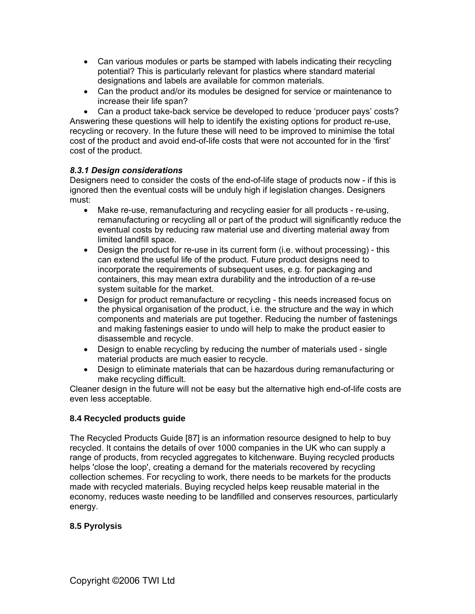- Can various modules or parts be stamped with labels indicating their recycling potential? This is particularly relevant for plastics where standard material designations and labels are available for common materials.
- Can the product and/or its modules be designed for service or maintenance to increase their life span?

• Can a product take-back service be developed to reduce 'producer pays' costs? Answering these questions will help to identify the existing options for product re-use, recycling or recovery. In the future these will need to be improved to minimise the total cost of the product and avoid end-of-life costs that were not accounted for in the 'first' cost of the product.

#### *8.3.1 Design considerations*

Designers need to consider the costs of the end-of-life stage of products now - if this is ignored then the eventual costs will be unduly high if legislation changes. Designers must:

- Make re-use, remanufacturing and recycling easier for all products re-using, remanufacturing or recycling all or part of the product will significantly reduce the eventual costs by reducing raw material use and diverting material away from limited landfill space.
- Design the product for re-use in its current form (i.e. without processing) this can extend the useful life of the product. Future product designs need to incorporate the requirements of subsequent uses, e.g. for packaging and containers, this may mean extra durability and the introduction of a re-use system suitable for the market.
- Design for product remanufacture or recycling this needs increased focus on the physical organisation of the product, i.e. the structure and the way in which components and materials are put together. Reducing the number of fastenings and making fastenings easier to undo will help to make the product easier to disassemble and recycle.
- Design to enable recycling by reducing the number of materials used single material products are much easier to recycle.
- Design to eliminate materials that can be hazardous during remanufacturing or make recycling difficult.

Cleaner design in the future will not be easy but the alternative high end-of-life costs are even less acceptable.

#### **8.4 Recycled products guide**

The Recycled Products Guide [87] is an information resource designed to help to buy recycled. It contains the details of over 1000 companies in the UK who can supply a range of products, from recycled aggregates to kitchenware. Buying recycled products helps 'close the loop', creating a demand for the materials recovered by recycling collection schemes. For recycling to work, there needs to be markets for the products made with recycled materials. Buying recycled helps keep reusable material in the economy, reduces waste needing to be landfilled and conserves resources, particularly energy.

#### **8.5 Pyrolysis**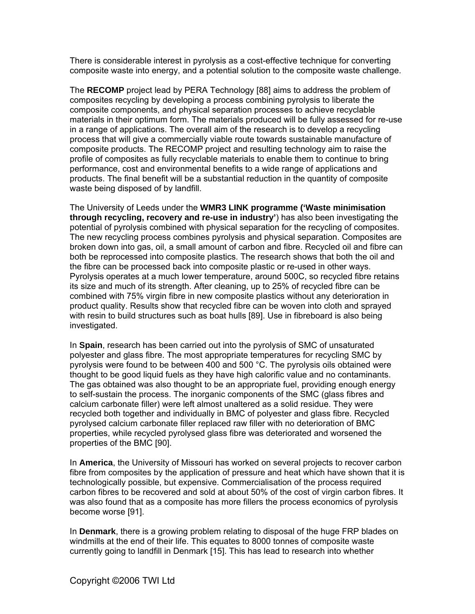There is considerable interest in pyrolysis as a cost-effective technique for converting composite waste into energy, and a potential solution to the composite waste challenge.

The **RECOMP** project lead by PERA Technology [88] aims to address the problem of composites recycling by developing a process combining pyrolysis to liberate the composite components, and physical separation processes to achieve recyclable materials in their optimum form. The materials produced will be fully assessed for re-use in a range of applications. The overall aim of the research is to develop a recycling process that will give a commercially viable route towards sustainable manufacture of composite products. The RECOMP project and resulting technology aim to raise the profile of composites as fully recyclable materials to enable them to continue to bring performance, cost and environmental benefits to a wide range of applications and products. The final benefit will be a substantial reduction in the quantity of composite waste being disposed of by landfill.

The University of Leeds under the **WMR3 LINK programme ('Waste minimisation through recycling, recovery and re-use in industry'**) has also been investigating the potential of pyrolysis combined with physical separation for the recycling of composites. The new recycling process combines pyrolysis and physical separation. Composites are broken down into gas, oil, a small amount of carbon and fibre. Recycled oil and fibre can both be reprocessed into composite plastics. The research shows that both the oil and the fibre can be processed back into composite plastic or re-used in other ways. Pyrolysis operates at a much lower temperature, around 500C, so recycled fibre retains its size and much of its strength. After cleaning, up to 25% of recycled fibre can be combined with 75% virgin fibre in new composite plastics without any deterioration in product quality. Results show that recycled fibre can be woven into cloth and sprayed with resin to build structures such as boat hulls [89]. Use in fibreboard is also being investigated.

In **Spain**, research has been carried out into the pyrolysis of SMC of unsaturated polyester and glass fibre. The most appropriate temperatures for recycling SMC by pyrolysis were found to be between 400 and 500 °C. The pyrolysis oils obtained were thought to be good liquid fuels as they have high calorific value and no contaminants. The gas obtained was also thought to be an appropriate fuel, providing enough energy to self-sustain the process. The inorganic components of the SMC (glass fibres and calcium carbonate filler) were left almost unaltered as a solid residue. They were recycled both together and individually in BMC of polyester and glass fibre. Recycled pyrolysed calcium carbonate filler replaced raw filler with no deterioration of BMC properties, while recycled pyrolysed glass fibre was deteriorated and worsened the properties of the BMC [90].

In **America**, the University of Missouri has worked on several projects to recover carbon fibre from composites by the application of pressure and heat which have shown that it is technologically possible, but expensive. Commercialisation of the process required carbon fibres to be recovered and sold at about 50% of the cost of virgin carbon fibres. It was also found that as a composite has more fillers the process economics of pyrolysis become worse [91].

In **Denmark**, there is a growing problem relating to disposal of the huge FRP blades on windmills at the end of their life. This equates to 8000 tonnes of composite waste currently going to landfill in Denmark [15]. This has lead to research into whether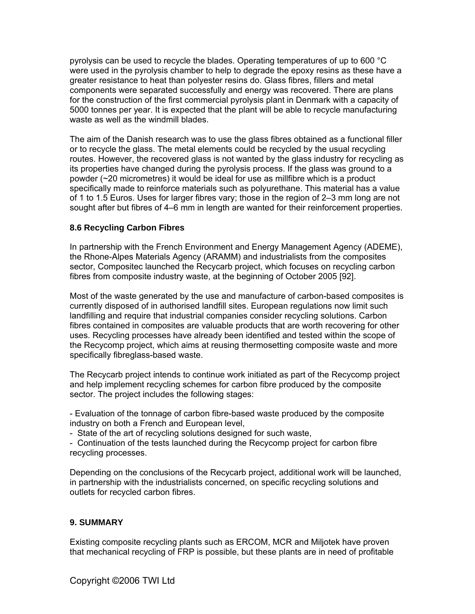pyrolysis can be used to recycle the blades. Operating temperatures of up to 600 °C were used in the pyrolysis chamber to help to degrade the epoxy resins as these have a greater resistance to heat than polyester resins do. Glass fibres, fillers and metal components were separated successfully and energy was recovered. There are plans for the construction of the first commercial pyrolysis plant in Denmark with a capacity of 5000 tonnes per year. It is expected that the plant will be able to recycle manufacturing waste as well as the windmill blades.

The aim of the Danish research was to use the glass fibres obtained as a functional filler or to recycle the glass. The metal elements could be recycled by the usual recycling routes. However, the recovered glass is not wanted by the glass industry for recycling as its properties have changed during the pyrolysis process. If the glass was ground to a powder (~20 micrometres) it would be ideal for use as millfibre which is a product specifically made to reinforce materials such as polyurethane. This material has a value of 1 to 1.5 Euros. Uses for larger fibres vary; those in the region of 2–3 mm long are not sought after but fibres of 4–6 mm in length are wanted for their reinforcement properties.

#### **8.6 Recycling Carbon Fibres**

In partnership with the French Environment and Energy Management Agency (ADEME), the Rhone-Alpes Materials Agency (ARAMM) and industrialists from the composites sector, Compositec launched the Recycarb project, which focuses on recycling carbon fibres from composite industry waste, at the beginning of October 2005 [92].

Most of the waste generated by the use and manufacture of carbon-based composites is currently disposed of in authorised landfill sites. European regulations now limit such landfilling and require that industrial companies consider recycling solutions. Carbon fibres contained in composites are valuable products that are worth recovering for other uses. Recycling processes have already been identified and tested within the scope of the Recycomp project, which aims at reusing thermosetting composite waste and more specifically fibreglass-based waste.

The Recycarb project intends to continue work initiated as part of the Recycomp project and help implement recycling schemes for carbon fibre produced by the composite sector. The project includes the following stages:

- Evaluation of the tonnage of carbon fibre-based waste produced by the composite industry on both a French and European level,

- State of the art of recycling solutions designed for such waste,

- Continuation of the tests launched during the Recycomp project for carbon fibre recycling processes.

Depending on the conclusions of the Recycarb project, additional work will be launched, in partnership with the industrialists concerned, on specific recycling solutions and outlets for recycled carbon fibres.

#### **9. SUMMARY**

Existing composite recycling plants such as ERCOM, MCR and Miljotek have proven that mechanical recycling of FRP is possible, but these plants are in need of profitable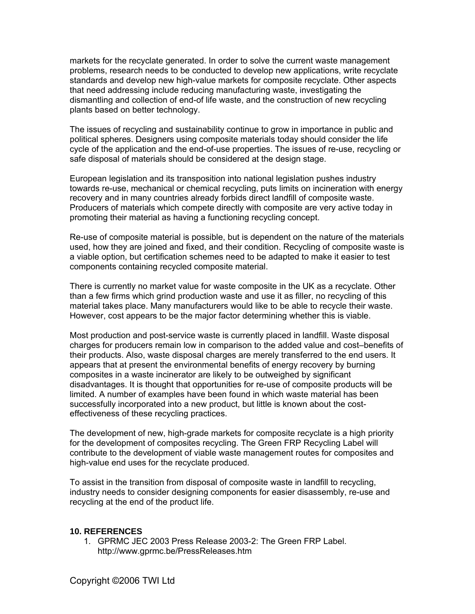markets for the recyclate generated. In order to solve the current waste management problems, research needs to be conducted to develop new applications, write recyclate standards and develop new high-value markets for composite recyclate. Other aspects that need addressing include reducing manufacturing waste, investigating the dismantling and collection of end-of life waste, and the construction of new recycling plants based on better technology.

The issues of recycling and sustainability continue to grow in importance in public and political spheres. Designers using composite materials today should consider the life cycle of the application and the end-of-use properties. The issues of re-use, recycling or safe disposal of materials should be considered at the design stage.

European legislation and its transposition into national legislation pushes industry towards re-use, mechanical or chemical recycling, puts limits on incineration with energy recovery and in many countries already forbids direct landfill of composite waste. Producers of materials which compete directly with composite are very active today in promoting their material as having a functioning recycling concept.

Re-use of composite material is possible, but is dependent on the nature of the materials used, how they are joined and fixed, and their condition. Recycling of composite waste is a viable option, but certification schemes need to be adapted to make it easier to test components containing recycled composite material.

There is currently no market value for waste composite in the UK as a recyclate. Other than a few firms which grind production waste and use it as filler, no recycling of this material takes place. Many manufacturers would like to be able to recycle their waste. However, cost appears to be the major factor determining whether this is viable.

Most production and post-service waste is currently placed in landfill. Waste disposal charges for producers remain low in comparison to the added value and cost–benefits of their products. Also, waste disposal charges are merely transferred to the end users. It appears that at present the environmental benefits of energy recovery by burning composites in a waste incinerator are likely to be outweighed by significant disadvantages. It is thought that opportunities for re-use of composite products will be limited. A number of examples have been found in which waste material has been successfully incorporated into a new product, but little is known about the costeffectiveness of these recycling practices.

The development of new, high-grade markets for composite recyclate is a high priority for the development of composites recycling. The Green FRP Recycling Label will contribute to the development of viable waste management routes for composites and high-value end uses for the recyclate produced.

To assist in the transition from disposal of composite waste in landfill to recycling, industry needs to consider designing components for easier disassembly, re-use and recycling at the end of the product life.

#### **10. REFERENCES**

1. GPRMC JEC 2003 Press Release 2003-2: The Green FRP Label. http://www.gprmc.be/PressReleases.htm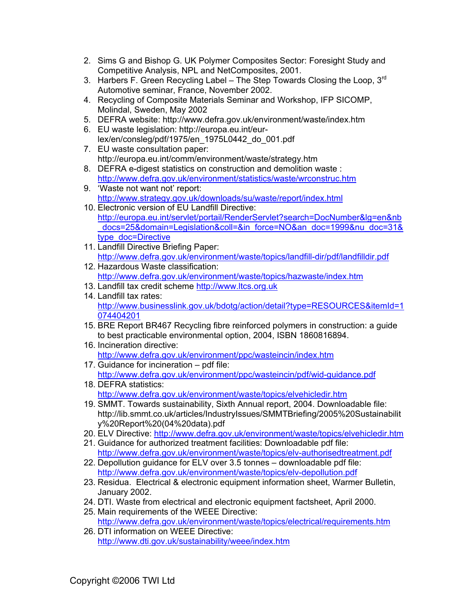- 2. Sims G and Bishop G. UK Polymer Composites Sector: Foresight Study and Competitive Analysis, NPL and NetComposites, 2001.
- 3. Harbers F. Green Recycling Label The Step Towards Closing the Loop,  $3<sup>rd</sup>$ Automotive seminar, France, November 2002.
- 4. Recycling of Composite Materials Seminar and Workshop, IFP SICOMP, Molindal, Sweden, May 2002
- 5. DEFRA website: http://www.defra.gov.uk/environment/waste/index.htm
- 6. EU waste legislation: [http://europa.eu.int/eur](http://europa.eu.int/eur-lex/en/consleg/pdf/1975/en_1975L0442_do_001.pdf)[lex/en/consleg/pdf/1975/en\\_1975L0442\\_do\\_001.pdf](http://europa.eu.int/eur-lex/en/consleg/pdf/1975/en_1975L0442_do_001.pdf)
- 7. EU waste consultation paper: <http://europa.eu.int/comm/environment/waste/strategy.htm>
- 8. DEFRA e-digest statistics on construction and demolition waste : <http://www.defra.gov.uk/environment/statistics/waste/wrconstruc.htm>
- 9. 'Waste not want not' report: <http://www.strategy.gov.uk/downloads/su/waste/report/index.html>
- 10. Electronic version of EU Landfill Directive: [http://europa.eu.int/servlet/portail/RenderServlet?search=DocNumber&lg=en&nb](http://europa.eu.int/servlet/portail/RenderServlet?search=DocNumber&lg=en&nb_docs=25&domain=Legislation&coll=&in_force=NO&an_doc=1999&nu_doc=31&type_doc=Directive) [\\_docs=25&domain=Legislation&coll=&in\\_force=NO&an\\_doc=1999&nu\\_doc=31&](http://europa.eu.int/servlet/portail/RenderServlet?search=DocNumber&lg=en&nb_docs=25&domain=Legislation&coll=&in_force=NO&an_doc=1999&nu_doc=31&type_doc=Directive) [type\\_doc=Directive](http://europa.eu.int/servlet/portail/RenderServlet?search=DocNumber&lg=en&nb_docs=25&domain=Legislation&coll=&in_force=NO&an_doc=1999&nu_doc=31&type_doc=Directive)
- 11. Landfill Directive Briefing Paper: <http://www.defra.gov.uk/environment/waste/topics/landfill-dir/pdf/landfilldir.pdf>
- 12. Hazardous Waste classification: <http://www.defra.gov.uk/environment/waste/topics/hazwaste/index.htm>
- 13. Landfill tax credit scheme [http://www.ltcs.org.uk](http://www.ltcs.org.uk/)
- 14. Landfill tax rates: [http://www.businesslink.gov.uk/bdotg/action/detail?type=RESOURCES&itemId=1](http://www.businesslink.gov.uk/bdotg/action/detail?type=RESOURCES&itemId=1074404201) [074404201](http://www.businesslink.gov.uk/bdotg/action/detail?type=RESOURCES&itemId=1074404201)
- 15. BRE Report BR467 Recycling fibre reinforced polymers in construction: a guide to best practicable environmental option, 2004, ISBN 1860816894.
- 16. Incineration directive: <http://www.defra.gov.uk/environment/ppc/wasteincin/index.htm>
- 17. Guidance for incineration pdf file: <http://www.defra.gov.uk/environment/ppc/wasteincin/pdf/wid-guidance.pdf>
- 18. DEFRA statistics: <http://www.defra.gov.uk/environment/waste/topics/elvehicledir.htm>
- 19. SMMT. Towards sustainability, Sixth Annual report, 2004. Downloadable file: http://lib.smmt.co.uk/articles/IndustryIssues/SMMTBriefing/2005%20Sustainabilit y%20Report%20(04%20data).pdf
- 20. ELV Directive: <http://www.defra.gov.uk/environment/waste/topics/elvehicledir.htm>
- 21. Guidance for authorized treatment facilities: Downloadable pdf file: <http://www.defra.gov.uk/environment/waste/topics/elv-authorisedtreatment.pdf>
- 22. Depollution guidance for ELV over 3.5 tonnes downloadable pdf file: <http://www.defra.gov.uk/environment/waste/topics/elv-depollution.pdf>
- 23. Residua. Electrical & electronic equipment information sheet, Warmer Bulletin, January 2002.
- 24. DTI. Waste from electrical and electronic equipment factsheet, April 2000.
- 25. Main requirements of the WEEE Directive: <http://www.defra.gov.uk/environment/waste/topics/electrical/requirements.htm>
- 26. DTI information on WEEE Directive: <http://www.dti.gov.uk/sustainability/weee/index.htm>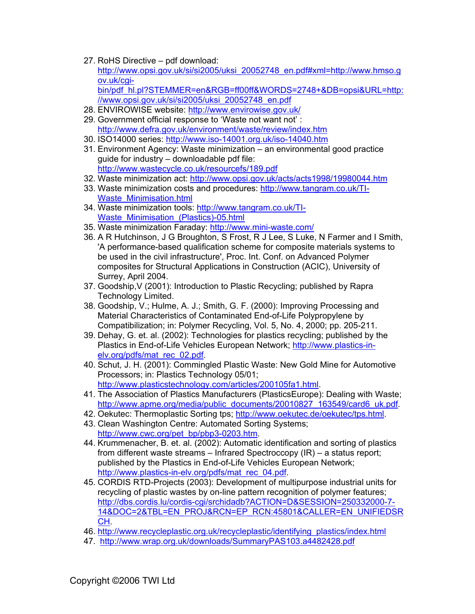27. RoHS Directive – pdf download: [http://www.opsi.gov.uk/si/si2005/uksi\\_20052748\\_en.pdf#xml=http://www.hmso.g](http://www.opsi.gov.uk/si/si2005/uksi_20052748_en.pdf#xml=http://www.hmso.gov.uk/cgi-bin/pdf_hl.pl?STEMMER=en&RGB=ff00ff&WORDS=2748+&DB=opsi&URL=http://www.opsi.gov.uk/si/si2005/uksi_20052748_en.pdf) [ov.uk/cgi-](http://www.opsi.gov.uk/si/si2005/uksi_20052748_en.pdf#xml=http://www.hmso.gov.uk/cgi-bin/pdf_hl.pl?STEMMER=en&RGB=ff00ff&WORDS=2748+&DB=opsi&URL=http://www.opsi.gov.uk/si/si2005/uksi_20052748_en.pdf)

[bin/pdf\\_hl.pl?STEMMER=en&RGB=ff00ff&WORDS=2748+&DB=opsi&URL=http:](http://www.opsi.gov.uk/si/si2005/uksi_20052748_en.pdf#xml=http://www.hmso.gov.uk/cgi-bin/pdf_hl.pl?STEMMER=en&RGB=ff00ff&WORDS=2748+&DB=opsi&URL=http://www.opsi.gov.uk/si/si2005/uksi_20052748_en.pdf) [//www.opsi.gov.uk/si/si2005/uksi\\_20052748\\_en.pdf](http://www.opsi.gov.uk/si/si2005/uksi_20052748_en.pdf#xml=http://www.hmso.gov.uk/cgi-bin/pdf_hl.pl?STEMMER=en&RGB=ff00ff&WORDS=2748+&DB=opsi&URL=http://www.opsi.gov.uk/si/si2005/uksi_20052748_en.pdf)

- 28. ENVIROWISE website: <http://www.envirowise.gov.uk/>
- 29. Government official response to 'Waste not want not' : <http://www.defra.gov.uk/environment/waste/review/index.htm>
- 30. ISO14000 series:<http://www.iso-14001.org.uk/iso-14040.htm>
- 31. Environment Agency: Waste minimization an environmental good practice guide for industry – downloadable pdf file: <http://www.wastecycle.co.uk/resourcefs/189.pdf>
- 32. Waste minimization act:<http://www.opsi.gov.uk/acts/acts1998/19980044.htm>
- 33. Waste minimization costs and procedures: [http://www.tangram.co.uk/TI-](http://www.tangram.co.uk/TI-Waste_Minimisation.html)Waste Minimisation.html
- 34. Waste minimization tools: [http://www.tangram.co.uk/TI-](http://www.tangram.co.uk/TI-Waste_Minimisation_(Plastics)-05.html)Waste Minimisation (Plastics)-05.html
- 35. Waste minimization Faraday: <http://www.mini-waste.com/>
- 36. A R Hutchinson, J G Broughton, S Frost, R J Lee, S Luke, N Farmer and I Smith, 'A performance-based qualification scheme for composite materials systems to be used in the civil infrastructure', Proc. Int. Conf. on Advanced Polymer composites for Structural Applications in Construction (ACIC), University of Surrey, April 2004.
- 37. Goodship,V (2001): Introduction to Plastic Recycling; published by Rapra Technology Limited.
- 38. Goodship, V.; Hulme, A. J.; Smith, G. F. (2000): Improving Processing and Material Characteristics of Contaminated End-of-Life Polypropylene by Compatibilization; in: Polymer Recycling, Vol. 5, No. 4, 2000; pp. 205-211.
- 39. Dehay, G. et. al. (2002): Technologies for plastics recycling; published by the Plastics in End-of-Life Vehicles European Network; [http://www.plastics-in](http://www.plastics-in-elv.org/pdfs/mat_rec_02.pdf)[elv.org/pdfs/mat\\_rec\\_02.pdf](http://www.plastics-in-elv.org/pdfs/mat_rec_02.pdf).
- 40. Schut, J. H. (2001): Commingled Plastic Waste: New Gold Mine for Automotive Processors; in: Plastics Technology 05/01; [http://www.plasticstechnology.com/articles/200105fa1.html.](http://www.plasticstechnology.com/articles/200105fa1.html)
- 41. The Association of Plastics Manufacturers (PlasticsEurope): Dealing with Waste; [http://www.apme.org/media/public\\_documents/20010827\\_163549/card6\\_uk.pdf](http://www.apme.org/media/public_documents/20010827_163549/card6_uk.pdf).
- 42. Oekutec: Thermoplastic Sorting tps; <http://www.oekutec.de/oekutec/tps.html>.
- 43. Clean Washington Centre: Automated Sorting Systems; [http://www.cwc.org/pet\\_bp/pbp3-0203.htm](http://www.cwc.org/pet_bp/pbp3-0203.htm).
- 44. Krummenacher, B. et. al. (2002): Automatic identification and sorting of plastics from different waste streams – Infrared Spectroccopy (IR) – a status report; published by the Plastics in End-of-Life Vehicles European Network; [http://www.plastics-in-elv.org/pdfs/mat\\_rec\\_04.pdf](http://www.plastics-in-elv.org/pdfs/mat_rec_04.pdf).
- 45. CORDIS RTD-Projects (2003): Development of multipurpose industrial units for recycling of plastic wastes by on-line pattern recognition of polymer features; [http://dbs.cordis.lu/cordis-cgi/srchidadb?ACTION=D&SESSION=250332000-7-](http://dbs.cordis.lu/cordis-cgi/srchidadb?ACTION=D&SESSION=250332000-7-14&DOC=2&TBL=EN_PROJ&RCN=EP_RCN:45801&CALLER=EN_UNIFIEDSRCH) [14&DOC=2&TBL=EN\\_PROJ&RCN=EP\\_RCN:45801&CALLER=EN\\_UNIFIEDSR](http://dbs.cordis.lu/cordis-cgi/srchidadb?ACTION=D&SESSION=250332000-7-14&DOC=2&TBL=EN_PROJ&RCN=EP_RCN:45801&CALLER=EN_UNIFIEDSRCH) [CH.](http://dbs.cordis.lu/cordis-cgi/srchidadb?ACTION=D&SESSION=250332000-7-14&DOC=2&TBL=EN_PROJ&RCN=EP_RCN:45801&CALLER=EN_UNIFIEDSRCH)
- 46. [http://www.recycleplastic.org.uk/recycleplastic/identifying\\_plastics/index.html](http://www.recycleplastic.org.uk/recycleplastic/identifying_plastics/index.html)
- 47. <http://www.wrap.org.uk/downloads/SummaryPAS103.a4482428.pdf>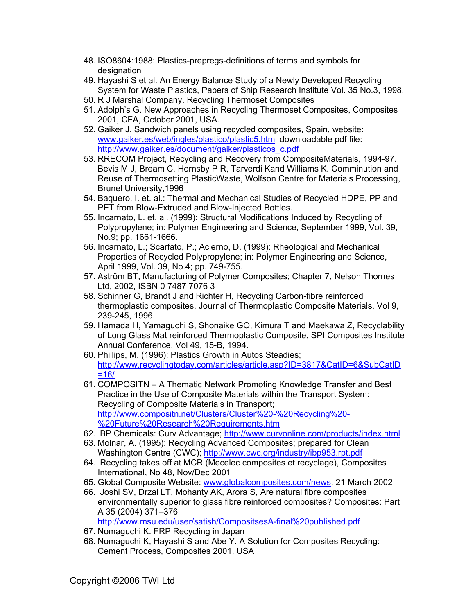- 48. ISO8604:1988: Plastics-prepregs-definitions of terms and symbols for designation
- 49. Hayashi S et al. An Energy Balance Study of a Newly Developed Recycling System for Waste Plastics, Papers of Ship Research Institute Vol. 35 No.3, 1998.
- 50. R J Marshal Company. Recycling Thermoset Composites
- 51. Adolph's G. New Approaches in Recycling Thermoset Composites, Composites 2001, CFA, October 2001, USA.
- 52. Gaiker J. Sandwich panels using recycled composites, Spain, website: [www.gaiker.es/web/ingles/plastico/plastic5.htm](http://www.gaiker.es/web/ingles/plastico/plastic5.htm) downloadable pdf file: [http://www.gaiker.es/document/gaiker/plasticos\\_c.pdf](http://www.gaiker.es/document/gaiker/plasticos_c.pdf)
- 53. RRECOM Project, Recycling and Recovery from CompositeMaterials, 1994-97. Bevis M J, Bream C, Hornsby P R, Tarverdi Kand Williams K. Comminution and Reuse of Thermosetting PlasticWaste, Wolfson Centre for Materials Processing, Brunel University,1996
- 54. Baquero, I. et. al.: Thermal and Mechanical Studies of Recycled HDPE, PP and PET from Blow-Extruded and Blow-Injected Bottles.
- 55. Incarnato, L. et. al. (1999): Structural Modifications Induced by Recycling of Polypropylene; in: Polymer Engineering and Science, September 1999, Vol. 39, No.9; pp. 1661-1666.
- 56. Incarnato, L.; Scarfato, P.; Acierno, D. (1999): Rheological and Mechanical Properties of Recycled Polypropylene; in: Polymer Engineering and Science, April 1999, Vol. 39, No.4; pp. 749-755.
- 57. Åström BT, Manufacturing of Polymer Composites; Chapter 7, Nelson Thornes Ltd, 2002, ISBN 0 7487 7076 3
- 58. Schinner G, Brandt J and Richter H, Recycling Carbon-fibre reinforced thermoplastic composites, Journal of Thermoplastic Composite Materials, Vol 9, 239-245, 1996.
- 59. Hamada H, Yamaguchi S, Shonaike GO, Kimura T and Maekawa Z, Recyclability of Long Glass Mat reinforced Thermoplastic Composite, SPI Composites Institute Annual Conference, Vol 49, 15-B, 1994.
- 60. Phillips, M. (1996): Plastics Growth in Autos Steadies; [http://www.recyclingtoday.com/articles/article.asp?ID=3817&CatID=6&SubCatID](http://www.recyclingtoday.com/articles/article.asp?ID=3817&CatID=6&SubCatID=16/)  $=16/$
- 61. COMPOSITN A Thematic Network Promoting Knowledge Transfer and Best Practice in the Use of Composite Materials within the Transport System: Recycling of Composite Materials in Transport; [http://www.compositn.net/Clusters/Cluster%20-%20Recycling%20-](http://www.compositn.net/Clusters/Cluster%20-%20Recycling%20-%20Future%20Research%20Requirements.htm) [%20Future%20Research%20Requirements.htm](http://www.compositn.net/Clusters/Cluster%20-%20Recycling%20-%20Future%20Research%20Requirements.htm)
- 62. BP Chemicals: Curv Advantage;<http://www.curvonline.com/products/index.html>
- 63. Molnar, A. (1995): Recycling Advanced Composites; prepared for Clean Washington Centre (CWC); <http://www.cwc.org/industry/ibp953.rpt.pdf>
- 64. Recycling takes off at MCR (Mecelec composites et recyclage), Composites International, No 48, Nov/Dec 2001
- 65. Global Composite Website: [www.globalcomposites.com/news,](http://www.globalcomposites.com/news) 21 March 2002
- 66. Joshi SV, Drzal LT, Mohanty AK, Arora S, Are natural fibre composites environmentally superior to glass fibre reinforced composites? Composites: Part A 35 (2004) 371–376

<http://www.msu.edu/user/satish/CompositsesA-final%20published.pdf>

- 67. Nomaguchi K. FRP Recycling in Japan
- 68. Nomaguchi K, Hayashi S and Abe Y. A Solution for Composites Recycling: Cement Process, Composites 2001, USA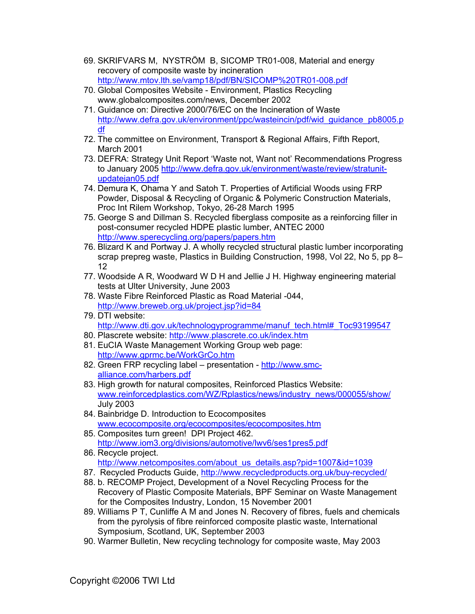- 69. SKRIFVARS M, NYSTRÖM B, SICOMP TR01-008, Material and energy recovery of composite waste by incineration <http://www.mtov.lth.se/vamp18/pdf/BN/SICOMP%20TR01-008.pdf>
- 70. Global Composites Website Environment, Plastics Recycling www.globalcomposites.com/news, December 2002
- 71. Guidance on: Directive 2000/76/EC on the Incineration of Waste [http://www.defra.gov.uk/environment/ppc/wasteincin/pdf/wid\\_guidance\\_pb8005.p](http://www.defra.gov.uk/environment/ppc/wasteincin/pdf/wid_guidance_pb8005.pdf) [df](http://www.defra.gov.uk/environment/ppc/wasteincin/pdf/wid_guidance_pb8005.pdf)
- 72. The committee on Environment, Transport & Regional Affairs, Fifth Report, March 2001
- 73. DEFRA: Strategy Unit Report 'Waste not, Want not' Recommendations Progress to January 2005 [http://www.defra.gov.uk/environment/waste/review/stratunit](http://www.defra.gov.uk/environment/waste/review/stratunit-updatejan05.pdf)[updatejan05.pdf](http://www.defra.gov.uk/environment/waste/review/stratunit-updatejan05.pdf)
- 74. Demura K, Ohama Y and Satoh T. Properties of Artificial Woods using FRP Powder, Disposal & Recycling of Organic & Polymeric Construction Materials, Proc Int Rilem Workshop, Tokyo, 26-28 March 1995
- 75. George S and Dillman S. Recycled fiberglass composite as a reinforcing filler in post-consumer recycled HDPE plastic lumber, ANTEC 2000 <http://www.sperecycling.org/papers/papers.htm>
- 76. Blizard K and Portway J. A wholly recycled structural plastic lumber incorporating scrap prepreg waste, Plastics in Building Construction, 1998, Vol 22, No 5, pp 8– 12
- 77. Woodside A R, Woodward W D H and Jellie J H. Highway engineering material tests at Ulter University, June 2003
- 78. Waste Fibre Reinforced Plastic as Road Material -044, <http://www.breweb.org.uk/project.jsp?id=84>
- 79. DTI website: [http://www.dti.gov.uk/technologyprogramme/manuf\\_tech.html#\\_Toc93199547](http://www.dti.gov.uk/technologyprogramme/manuf_tech.html#_Toc93199547)
- 80. Plascrete website:<http://www.plascrete.co.uk/index.htm>
- 81. EuCIA Waste Management Working Group web page: <http://www.gprmc.be/WorkGrCo.htm>
- 82. Green FRP recycling label presentation [http://www.smc](http://www.smc-alliance.com/harbers.pdf)[alliance.com/harbers.pdf](http://www.smc-alliance.com/harbers.pdf)
- 83. High growth for natural composites, Reinforced Plastics Website: [www.reinforcedplastics.com/WZ/Rplastics/news/industry\\_news/000055/show/](http://www.reinforcedplastics.com/WZ/Rplastics/news/industry_news/000055/show/) July 2003
- 84. Bainbridge D. Introduction to Ecocomposites [www.ecocomposite.org/ecocomposites/ecocomposites.htm](http://www.ecocomposite.org/ecocomposites/ecocomposites.htm)
- 85. Composites turn green! DPI Project 462. <http://www.iom3.org/divisions/automotive/lwv6/ses1pres5.pdf>
- 86. Recycle project. [http://www.netcomposites.com/about\\_us\\_details.asp?pid=1007&id=1039](http://www.netcomposites.com/about_us_details.asp?pid=1007&id=1039)
- 87. Recycled Products Guide,<http://www.recycledproducts.org.uk/buy-recycled/>
- 88. b. RECOMP Project, Development of a Novel Recycling Process for the Recovery of Plastic Composite Materials, BPF Seminar on Waste Management for the Composites Industry, London, 15 November 2001
- 89. Williams P T, Cunliffe A M and Jones N. Recovery of fibres, fuels and chemicals from the pyrolysis of fibre reinforced composite plastic waste, International Symposium, Scotland, UK, September 2003
- 90. Warmer Bulletin, New recycling technology for composite waste, May 2003